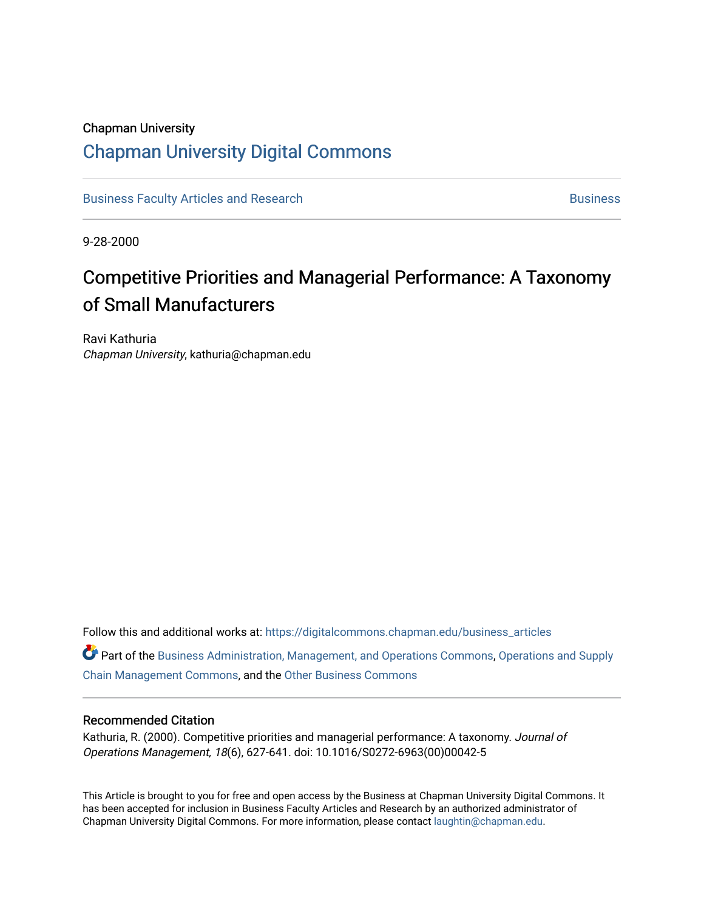# Chapman University [Chapman University Digital Commons](https://digitalcommons.chapman.edu/)

[Business Faculty Articles and Research](https://digitalcommons.chapman.edu/business_articles) [Business](https://digitalcommons.chapman.edu/business) **Business** Business

9-28-2000

# Competitive Priorities and Managerial Performance: A Taxonomy of Small Manufacturers

Ravi Kathuria Chapman University, kathuria@chapman.edu

Follow this and additional works at: [https://digitalcommons.chapman.edu/business\\_articles](https://digitalcommons.chapman.edu/business_articles?utm_source=digitalcommons.chapman.edu%2Fbusiness_articles%2F80&utm_medium=PDF&utm_campaign=PDFCoverPages) 

Part of the [Business Administration, Management, and Operations Commons](http://network.bepress.com/hgg/discipline/623?utm_source=digitalcommons.chapman.edu%2Fbusiness_articles%2F80&utm_medium=PDF&utm_campaign=PDFCoverPages), [Operations and Supply](http://network.bepress.com/hgg/discipline/1229?utm_source=digitalcommons.chapman.edu%2Fbusiness_articles%2F80&utm_medium=PDF&utm_campaign=PDFCoverPages)  [Chain Management Commons](http://network.bepress.com/hgg/discipline/1229?utm_source=digitalcommons.chapman.edu%2Fbusiness_articles%2F80&utm_medium=PDF&utm_campaign=PDFCoverPages), and the [Other Business Commons](http://network.bepress.com/hgg/discipline/647?utm_source=digitalcommons.chapman.edu%2Fbusiness_articles%2F80&utm_medium=PDF&utm_campaign=PDFCoverPages)

#### Recommended Citation

Kathuria, R. (2000). Competitive priorities and managerial performance: A taxonomy. Journal of Operations Management, 18(6), 627-641. doi: 10.1016/S0272-6963(00)00042-5

This Article is brought to you for free and open access by the Business at Chapman University Digital Commons. It has been accepted for inclusion in Business Faculty Articles and Research by an authorized administrator of Chapman University Digital Commons. For more information, please contact [laughtin@chapman.edu](mailto:laughtin@chapman.edu).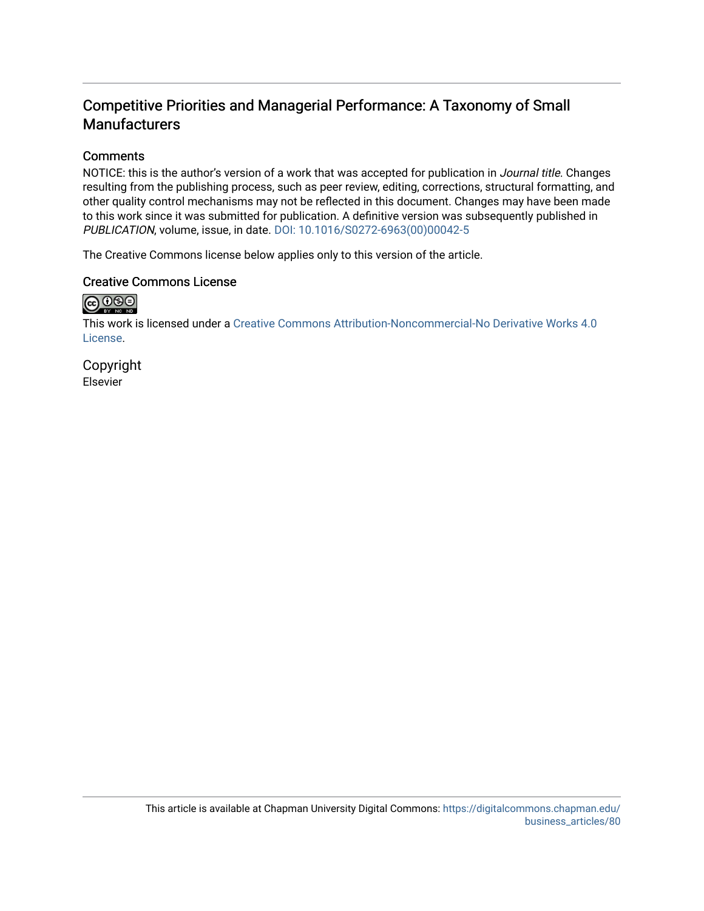# Competitive Priorities and Managerial Performance: A Taxonomy of Small **Manufacturers**

### **Comments**

NOTICE: this is the author's version of a work that was accepted for publication in Journal title. Changes resulting from the publishing process, such as peer review, editing, corrections, structural formatting, and other quality control mechanisms may not be reflected in this document. Changes may have been made to this work since it was submitted for publication. A definitive version was subsequently published in PUBLICATION, volume, issue, in date. [DOI: 10.1016/S0272-6963\(00\)00042-5](https://doi.org/10.1016/S0272-6963(00)00042-5)

The Creative Commons license below applies only to this version of the article.

### Creative Commons License



This work is licensed under a [Creative Commons Attribution-Noncommercial-No Derivative Works 4.0](https://creativecommons.org/licenses/by-nc-nd/4.0/) [License](https://creativecommons.org/licenses/by-nc-nd/4.0/).

Copyright Elsevier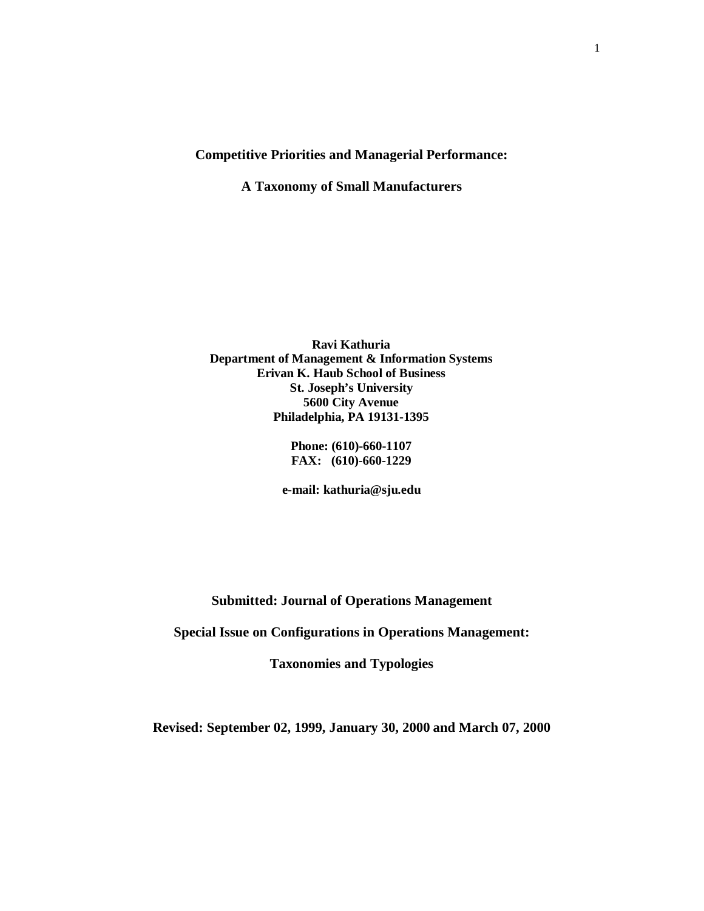#### **Competitive Priorities and Managerial Performance:**

**A Taxonomy of Small Manufacturers**

**Ravi Kathuria Department of Management & Information Systems Erivan K. Haub School of Business St. Joseph's University 5600 City Avenue Philadelphia, PA 19131-1395**

> **Phone: (610)-660-1107 FAX: (610)-660-1229**

**e-mail: kathuria@sju.edu**

**Submitted: Journal of Operations Management**

**Special Issue on Configurations in Operations Management:** 

**Taxonomies and Typologies**

**Revised: September 02, 1999, January 30, 2000 and March 07, 2000**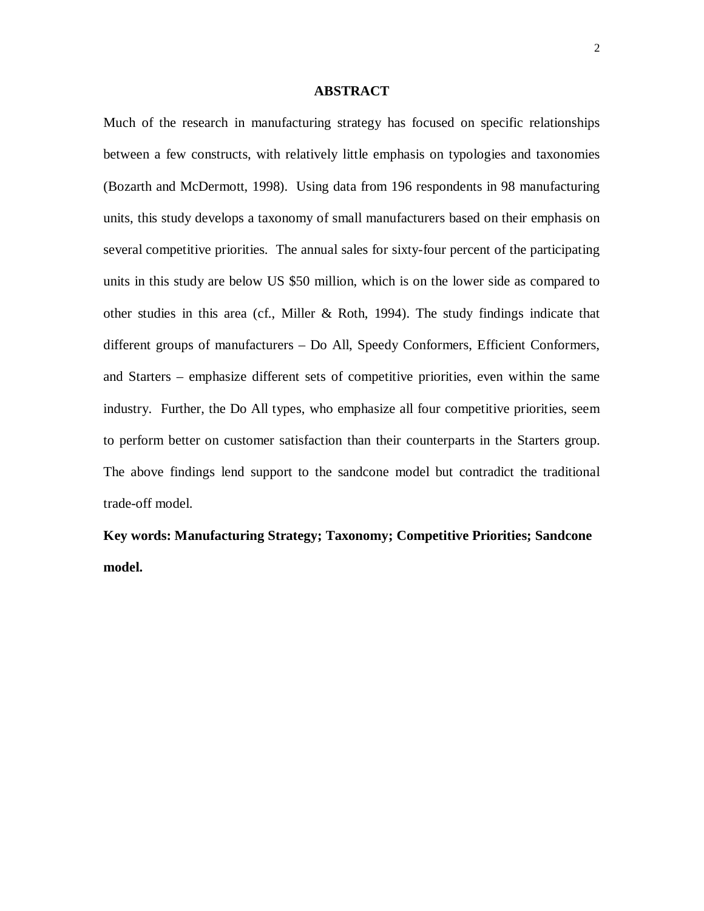#### **ABSTRACT**

Much of the research in manufacturing strategy has focused on specific relationships between a few constructs, with relatively little emphasis on typologies and taxonomies (Bozarth and McDermott, 1998). Using data from 196 respondents in 98 manufacturing units, this study develops a taxonomy of small manufacturers based on their emphasis on several competitive priorities. The annual sales for sixty-four percent of the participating units in this study are below US \$50 million, which is on the lower side as compared to other studies in this area (cf., Miller & Roth, 1994). The study findings indicate that different groups of manufacturers – Do All, Speedy Conformers, Efficient Conformers, and Starters – emphasize different sets of competitive priorities, even within the same industry. Further, the Do All types, who emphasize all four competitive priorities, seem to perform better on customer satisfaction than their counterparts in the Starters group. The above findings lend support to the sandcone model but contradict the traditional trade-off model.

**Key words: Manufacturing Strategy; Taxonomy; Competitive Priorities; Sandcone model.**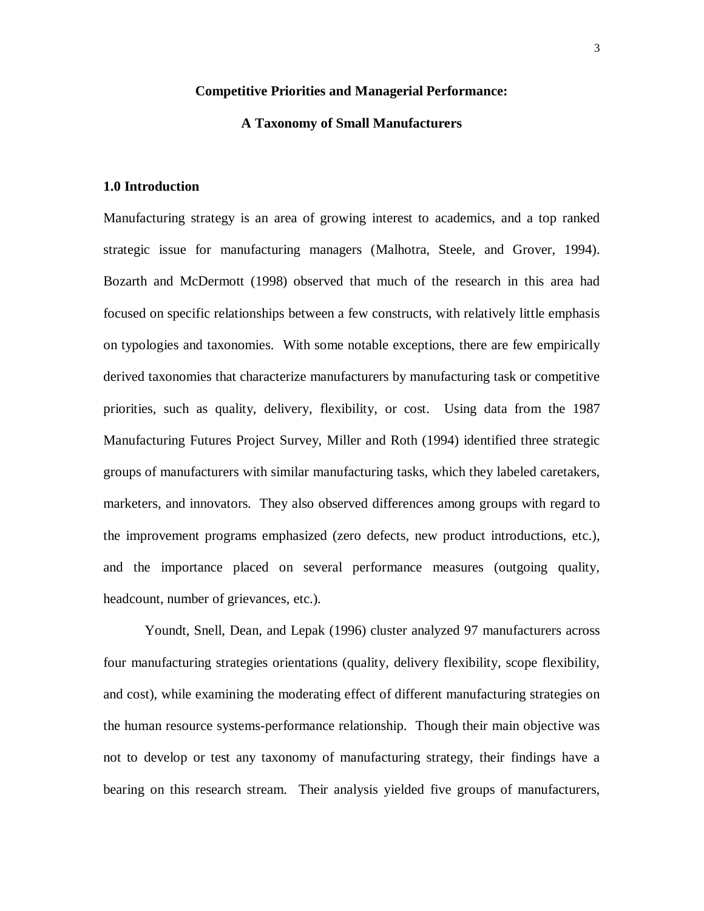#### **Competitive Priorities and Managerial Performance:**

#### **A Taxonomy of Small Manufacturers**

#### **1.0 Introduction**

Manufacturing strategy is an area of growing interest to academics, and a top ranked strategic issue for manufacturing managers (Malhotra, Steele, and Grover, 1994). Bozarth and McDermott (1998) observed that much of the research in this area had focused on specific relationships between a few constructs, with relatively little emphasis on typologies and taxonomies. With some notable exceptions, there are few empirically derived taxonomies that characterize manufacturers by manufacturing task or competitive priorities, such as quality, delivery, flexibility, or cost. Using data from the 1987 Manufacturing Futures Project Survey, Miller and Roth (1994) identified three strategic groups of manufacturers with similar manufacturing tasks, which they labeled caretakers, marketers, and innovators. They also observed differences among groups with regard to the improvement programs emphasized (zero defects, new product introductions, etc.), and the importance placed on several performance measures (outgoing quality, headcount, number of grievances, etc.).

Youndt, Snell, Dean, and Lepak (1996) cluster analyzed 97 manufacturers across four manufacturing strategies orientations (quality, delivery flexibility, scope flexibility, and cost), while examining the moderating effect of different manufacturing strategies on the human resource systems-performance relationship. Though their main objective was not to develop or test any taxonomy of manufacturing strategy, their findings have a bearing on this research stream. Their analysis yielded five groups of manufacturers,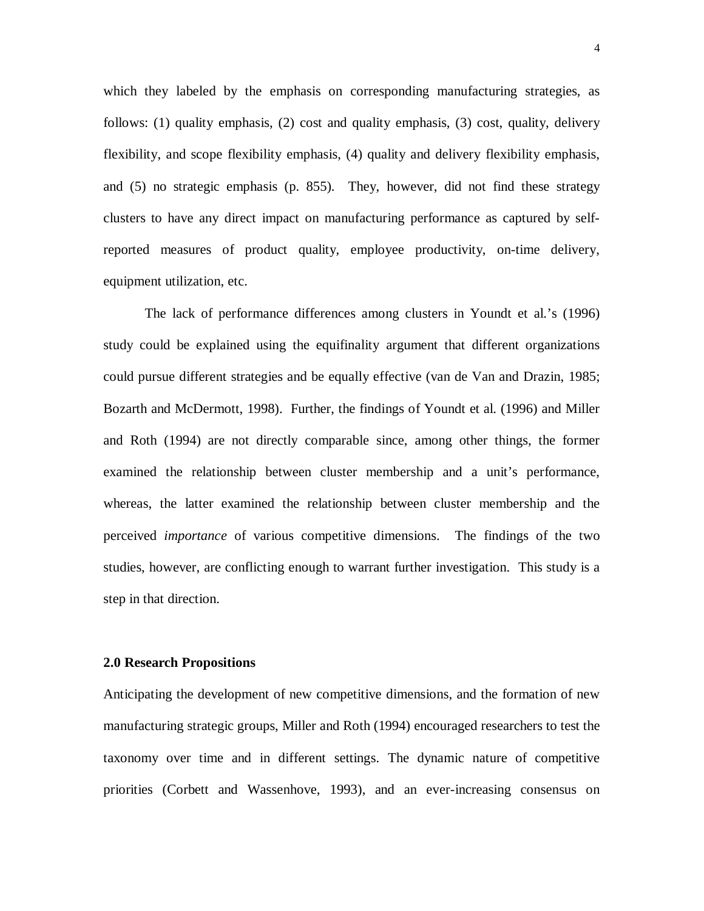which they labeled by the emphasis on corresponding manufacturing strategies, as follows: (1) quality emphasis, (2) cost and quality emphasis, (3) cost, quality, delivery flexibility, and scope flexibility emphasis, (4) quality and delivery flexibility emphasis, and (5) no strategic emphasis (p. 855). They, however, did not find these strategy clusters to have any direct impact on manufacturing performance as captured by selfreported measures of product quality, employee productivity, on-time delivery, equipment utilization, etc.

The lack of performance differences among clusters in Youndt et al.'s (1996) study could be explained using the equifinality argument that different organizations could pursue different strategies and be equally effective (van de Van and Drazin, 1985; Bozarth and McDermott, 1998). Further, the findings of Youndt et al. (1996) and Miller and Roth (1994) are not directly comparable since, among other things, the former examined the relationship between cluster membership and a unit's performance, whereas, the latter examined the relationship between cluster membership and the perceived *importance* of various competitive dimensions. The findings of the two studies, however, are conflicting enough to warrant further investigation. This study is a step in that direction.

#### **2.0 Research Propositions**

Anticipating the development of new competitive dimensions, and the formation of new manufacturing strategic groups, Miller and Roth (1994) encouraged researchers to test the taxonomy over time and in different settings. The dynamic nature of competitive priorities (Corbett and Wassenhove, 1993), and an ever-increasing consensus on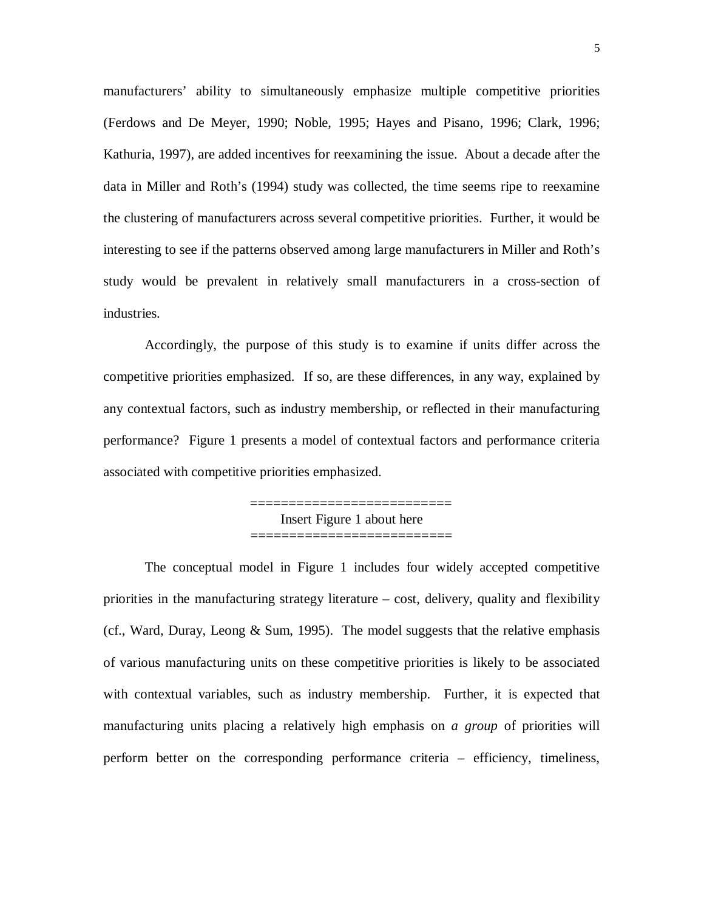manufacturers' ability to simultaneously emphasize multiple competitive priorities (Ferdows and De Meyer, 1990; Noble, 1995; Hayes and Pisano, 1996; Clark, 1996; Kathuria, 1997), are added incentives for reexamining the issue. About a decade after the data in Miller and Roth's (1994) study was collected, the time seems ripe to reexamine the clustering of manufacturers across several competitive priorities. Further, it would be interesting to see if the patterns observed among large manufacturers in Miller and Roth's study would be prevalent in relatively small manufacturers in a cross-section of industries.

Accordingly, the purpose of this study is to examine if units differ across the competitive priorities emphasized. If so, are these differences, in any way, explained by any contextual factors, such as industry membership, or reflected in their manufacturing performance? Figure 1 presents a model of contextual factors and performance criteria associated with competitive priorities emphasized.

> ========================== Insert Figure 1 about here ==========================

The conceptual model in Figure 1 includes four widely accepted competitive priorities in the manufacturing strategy literature – cost, delivery, quality and flexibility (cf., Ward, Duray, Leong & Sum, 1995). The model suggests that the relative emphasis of various manufacturing units on these competitive priorities is likely to be associated with contextual variables, such as industry membership. Further, it is expected that manufacturing units placing a relatively high emphasis on *a group* of priorities will perform better on the corresponding performance criteria – efficiency, timeliness,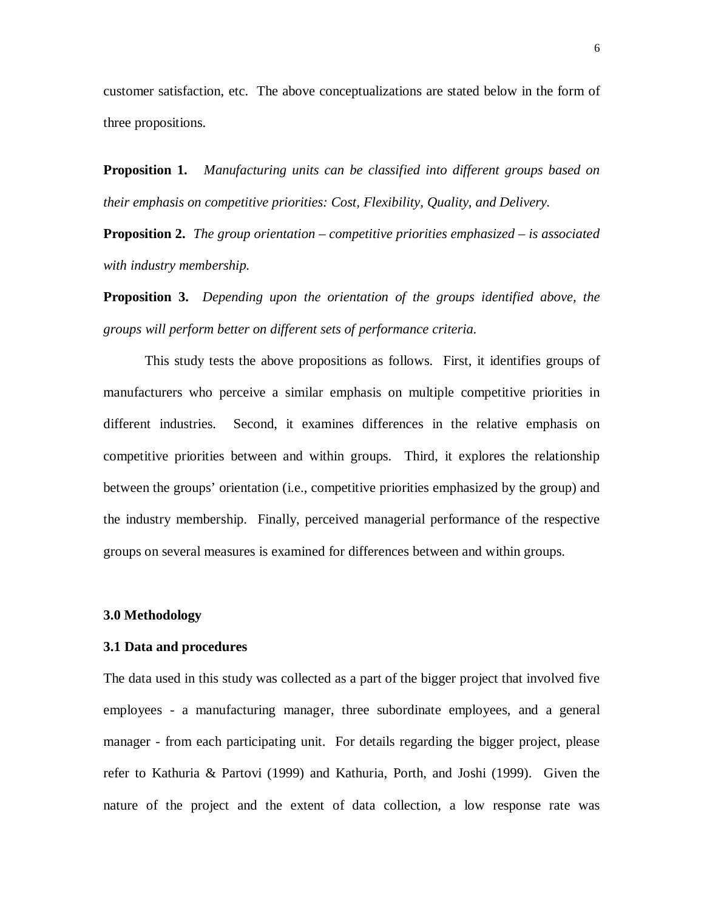customer satisfaction, etc. The above conceptualizations are stated below in the form of three propositions.

**Proposition 1.** *Manufacturing units can be classified into different groups based on their emphasis on competitive priorities: Cost, Flexibility, Quality, and Delivery.*

**Proposition 2.** *The group orientation – competitive priorities emphasized – is associated with industry membership.*

**Proposition 3.** *Depending upon the orientation of the groups identified above, the groups will perform better on different sets of performance criteria.*

This study tests the above propositions as follows. First, it identifies groups of manufacturers who perceive a similar emphasis on multiple competitive priorities in different industries. Second, it examines differences in the relative emphasis on competitive priorities between and within groups. Third, it explores the relationship between the groups' orientation (i.e., competitive priorities emphasized by the group) and the industry membership. Finally, perceived managerial performance of the respective groups on several measures is examined for differences between and within groups.

#### **3.0 Methodology**

#### **3.1 Data and procedures**

The data used in this study was collected as a part of the bigger project that involved five employees - a manufacturing manager, three subordinate employees, and a general manager - from each participating unit. For details regarding the bigger project, please refer to Kathuria & Partovi (1999) and Kathuria, Porth, and Joshi (1999). Given the nature of the project and the extent of data collection, a low response rate was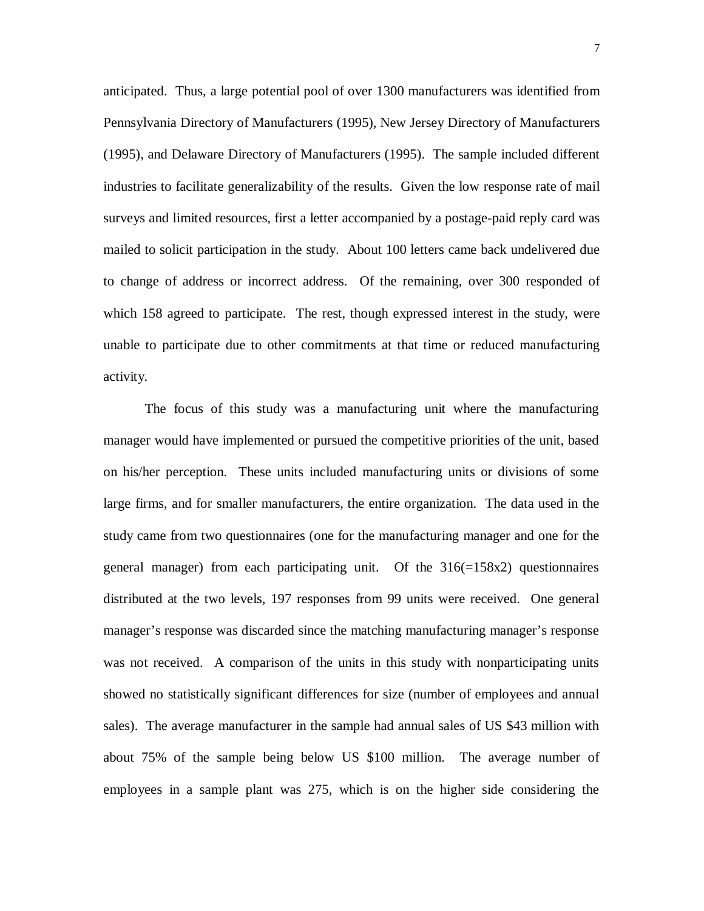anticipated. Thus, a large potential pool of over 1300 manufacturers was identified from Pennsylvania Directory of Manufacturers (1995), New Jersey Directory of Manufacturers (1995), and Delaware Directory of Manufacturers (1995). The sample included different industries to facilitate generalizability of the results. Given the low response rate of mail surveys and limited resources, first a letter accompanied by a postage-paid reply card was mailed to solicit participation in the study. About 100 letters came back undelivered due to change of address or incorrect address. Of the remaining, over 300 responded of which 158 agreed to participate. The rest, though expressed interest in the study, were unable to participate due to other commitments at that time or reduced manufacturing activity.

The focus of this study was a manufacturing unit where the manufacturing manager would have implemented or pursued the competitive priorities of the unit, based on his/her perception. These units included manufacturing units or divisions of some large firms, and for smaller manufacturers, the entire organization. The data used in the study came from two questionnaires (one for the manufacturing manager and one for the general manager) from each participating unit. Of the  $316(=158x2)$  questionnaires distributed at the two levels, 197 responses from 99 units were received. One general manager's response was discarded since the matching manufacturing manager's response was not received. A comparison of the units in this study with nonparticipating units showed no statistically significant differences for size (number of employees and annual sales). The average manufacturer in the sample had annual sales of US \$43 million with about 75% of the sample being below US \$100 million. The average number of employees in a sample plant was 275, which is on the higher side considering the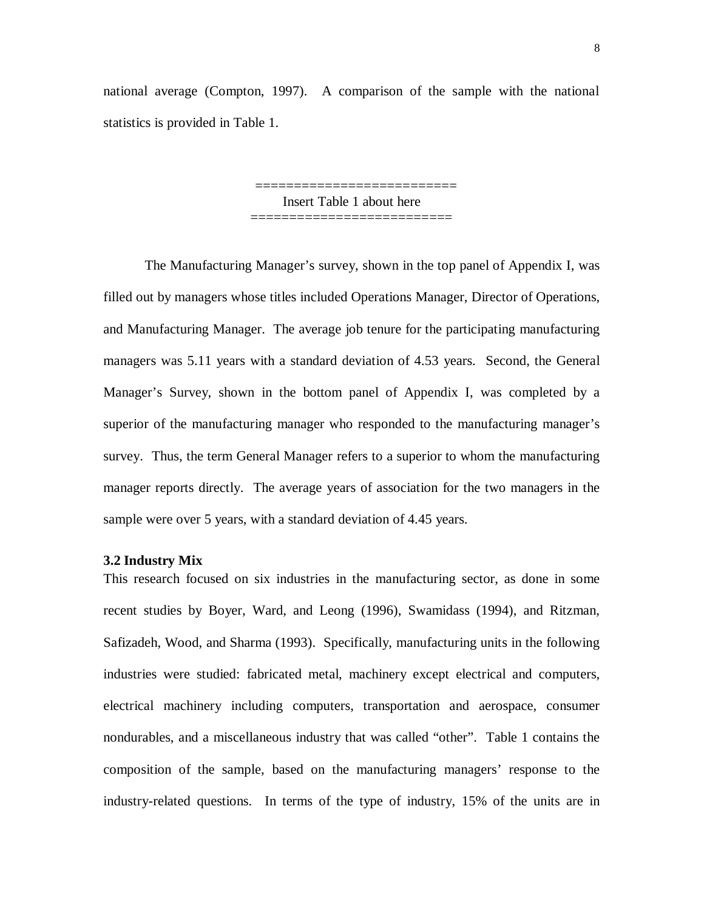national average (Compton, 1997). A comparison of the sample with the national statistics is provided in Table 1.

> ========================== Insert Table 1 about here ==========================

The Manufacturing Manager's survey, shown in the top panel of Appendix I, was filled out by managers whose titles included Operations Manager, Director of Operations, and Manufacturing Manager. The average job tenure for the participating manufacturing managers was 5.11 years with a standard deviation of 4.53 years. Second, the General Manager's Survey, shown in the bottom panel of Appendix I, was completed by a superior of the manufacturing manager who responded to the manufacturing manager's survey. Thus, the term General Manager refers to a superior to whom the manufacturing manager reports directly. The average years of association for the two managers in the sample were over 5 years, with a standard deviation of 4.45 years.

#### **3.2 Industry Mix**

This research focused on six industries in the manufacturing sector, as done in some recent studies by Boyer, Ward, and Leong (1996), Swamidass (1994), and Ritzman, Safizadeh, Wood, and Sharma (1993). Specifically, manufacturing units in the following industries were studied: fabricated metal, machinery except electrical and computers, electrical machinery including computers, transportation and aerospace, consumer nondurables, and a miscellaneous industry that was called "other". Table 1 contains the composition of the sample, based on the manufacturing managers' response to the industry-related questions. In terms of the type of industry, 15% of the units are in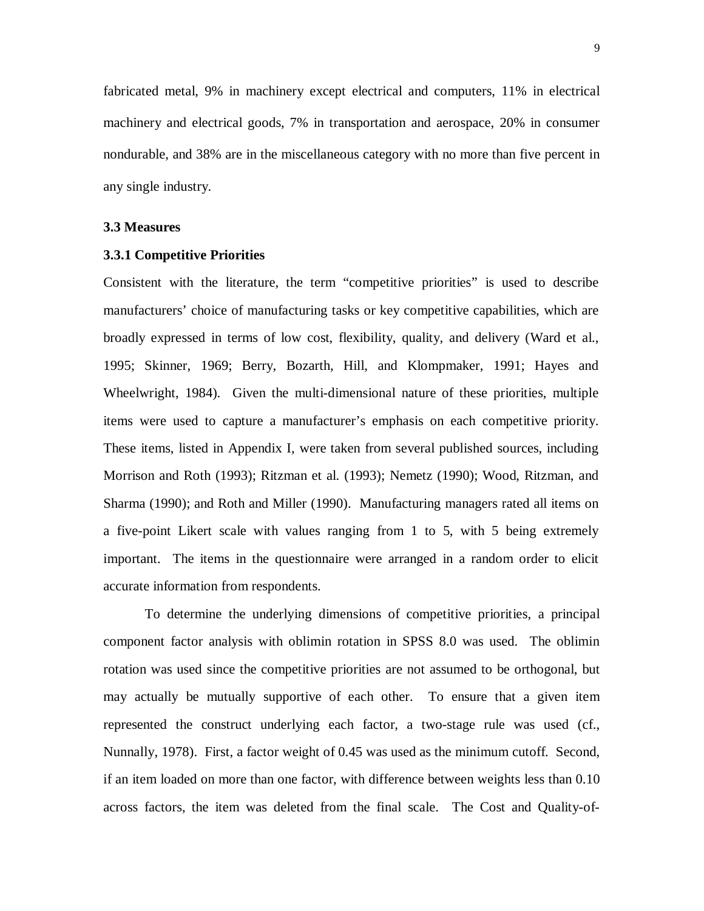fabricated metal, 9% in machinery except electrical and computers, 11% in electrical machinery and electrical goods, 7% in transportation and aerospace, 20% in consumer nondurable, and 38% are in the miscellaneous category with no more than five percent in any single industry.

#### **3.3 Measures**

#### **3.3.1 Competitive Priorities**

Consistent with the literature, the term "competitive priorities" is used to describe manufacturers' choice of manufacturing tasks or key competitive capabilities, which are broadly expressed in terms of low cost, flexibility, quality, and delivery (Ward et al., 1995; Skinner, 1969; Berry, Bozarth, Hill, and Klompmaker, 1991; Hayes and Wheelwright, 1984). Given the multi-dimensional nature of these priorities, multiple items were used to capture a manufacturer's emphasis on each competitive priority. These items, listed in Appendix I, were taken from several published sources, including Morrison and Roth (1993); Ritzman et al. (1993); Nemetz (1990); Wood, Ritzman, and Sharma (1990); and Roth and Miller (1990). Manufacturing managers rated all items on a five-point Likert scale with values ranging from 1 to 5, with 5 being extremely important. The items in the questionnaire were arranged in a random order to elicit accurate information from respondents.

To determine the underlying dimensions of competitive priorities, a principal component factor analysis with oblimin rotation in SPSS 8.0 was used. The oblimin rotation was used since the competitive priorities are not assumed to be orthogonal, but may actually be mutually supportive of each other. To ensure that a given item represented the construct underlying each factor, a two-stage rule was used (cf., Nunnally, 1978). First, a factor weight of 0.45 was used as the minimum cutoff. Second, if an item loaded on more than one factor, with difference between weights less than 0.10 across factors, the item was deleted from the final scale. The Cost and Quality-of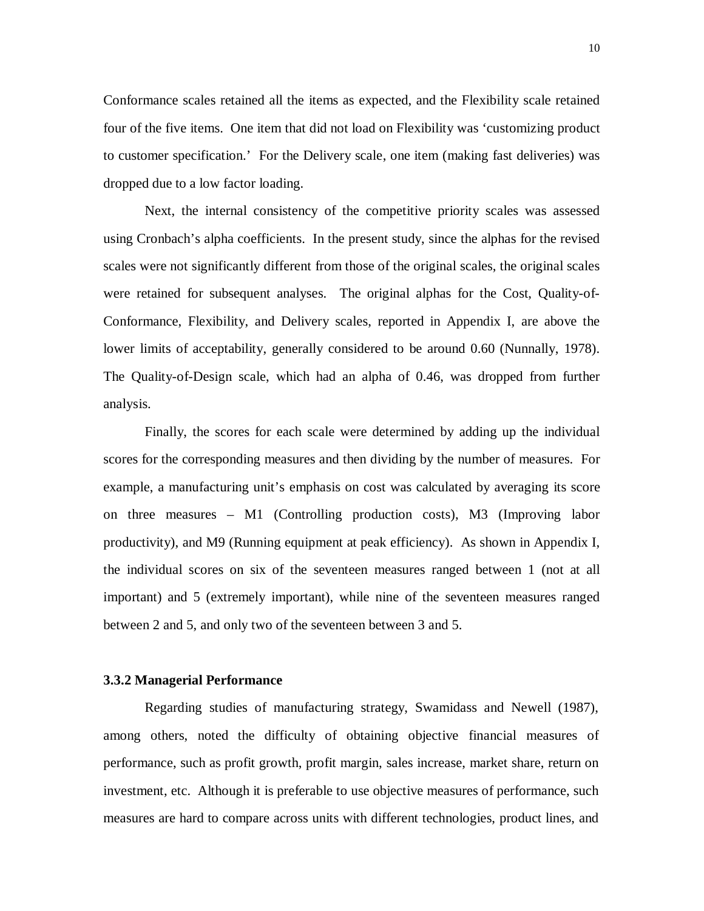Conformance scales retained all the items as expected, and the Flexibility scale retained four of the five items. One item that did not load on Flexibility was 'customizing product to customer specification.' For the Delivery scale, one item (making fast deliveries) was dropped due to a low factor loading.

Next, the internal consistency of the competitive priority scales was assessed using Cronbach's alpha coefficients. In the present study, since the alphas for the revised scales were not significantly different from those of the original scales, the original scales were retained for subsequent analyses. The original alphas for the Cost, Quality-of-Conformance, Flexibility, and Delivery scales, reported in Appendix I, are above the lower limits of acceptability, generally considered to be around 0.60 (Nunnally, 1978). The Quality-of-Design scale, which had an alpha of 0.46, was dropped from further analysis.

Finally, the scores for each scale were determined by adding up the individual scores for the corresponding measures and then dividing by the number of measures. For example, a manufacturing unit's emphasis on cost was calculated by averaging its score on three measures – M1 (Controlling production costs), M3 (Improving labor productivity), and M9 (Running equipment at peak efficiency). As shown in Appendix I, the individual scores on six of the seventeen measures ranged between 1 (not at all important) and 5 (extremely important), while nine of the seventeen measures ranged between 2 and 5, and only two of the seventeen between 3 and 5.

#### **3.3.2 Managerial Performance**

Regarding studies of manufacturing strategy, Swamidass and Newell (1987), among others, noted the difficulty of obtaining objective financial measures of performance, such as profit growth, profit margin, sales increase, market share, return on investment, etc. Although it is preferable to use objective measures of performance, such measures are hard to compare across units with different technologies, product lines, and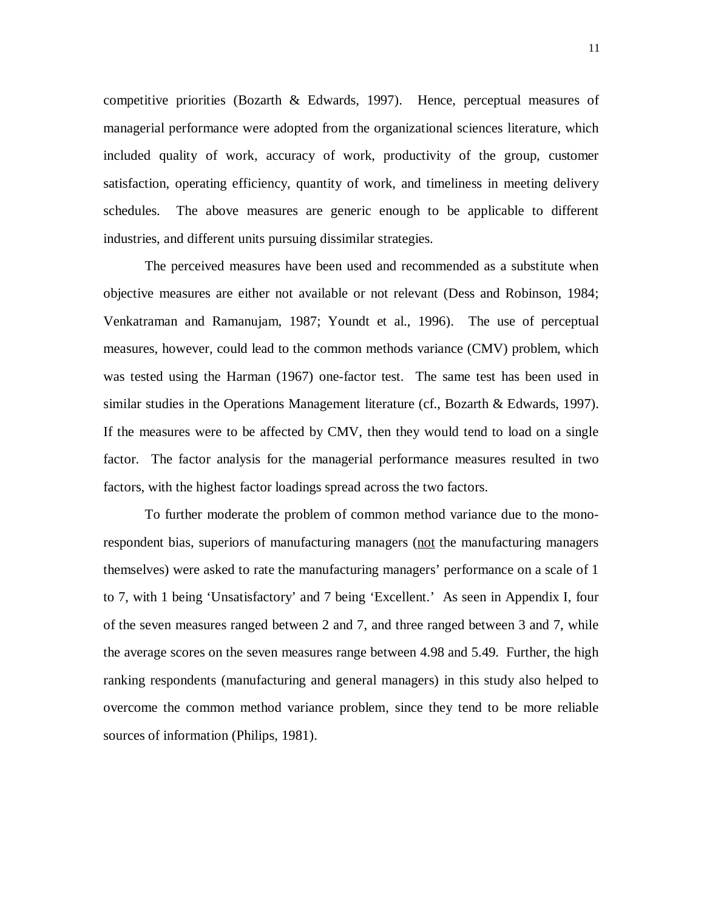competitive priorities (Bozarth & Edwards, 1997). Hence, perceptual measures of managerial performance were adopted from the organizational sciences literature, which included quality of work, accuracy of work, productivity of the group, customer satisfaction, operating efficiency, quantity of work, and timeliness in meeting delivery schedules. The above measures are generic enough to be applicable to different industries, and different units pursuing dissimilar strategies.

The perceived measures have been used and recommended as a substitute when objective measures are either not available or not relevant (Dess and Robinson, 1984; Venkatraman and Ramanujam, 1987; Youndt et al., 1996). The use of perceptual measures, however, could lead to the common methods variance (CMV) problem, which was tested using the Harman (1967) one-factor test. The same test has been used in similar studies in the Operations Management literature (cf., Bozarth & Edwards, 1997). If the measures were to be affected by CMV, then they would tend to load on a single factor. The factor analysis for the managerial performance measures resulted in two factors, with the highest factor loadings spread across the two factors.

To further moderate the problem of common method variance due to the monorespondent bias, superiors of manufacturing managers (not the manufacturing managers themselves) were asked to rate the manufacturing managers' performance on a scale of 1 to 7, with 1 being 'Unsatisfactory' and 7 being 'Excellent.' As seen in Appendix I, four of the seven measures ranged between 2 and 7, and three ranged between 3 and 7, while the average scores on the seven measures range between 4.98 and 5.49. Further, the high ranking respondents (manufacturing and general managers) in this study also helped to overcome the common method variance problem, since they tend to be more reliable sources of information (Philips, 1981).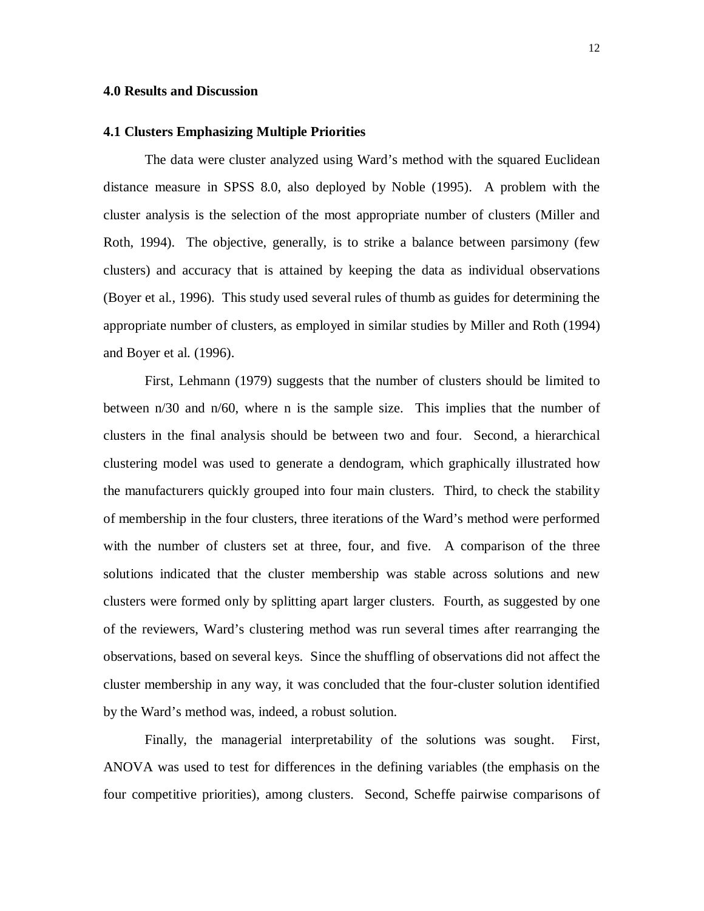#### **4.0 Results and Discussion**

#### **4.1 Clusters Emphasizing Multiple Priorities**

The data were cluster analyzed using Ward's method with the squared Euclidean distance measure in SPSS 8.0, also deployed by Noble (1995). A problem with the cluster analysis is the selection of the most appropriate number of clusters (Miller and Roth, 1994). The objective, generally, is to strike a balance between parsimony (few clusters) and accuracy that is attained by keeping the data as individual observations (Boyer et al., 1996). This study used several rules of thumb as guides for determining the appropriate number of clusters, as employed in similar studies by Miller and Roth (1994) and Boyer et al. (1996).

First, Lehmann (1979) suggests that the number of clusters should be limited to between n/30 and n/60, where n is the sample size. This implies that the number of clusters in the final analysis should be between two and four. Second, a hierarchical clustering model was used to generate a dendogram, which graphically illustrated how the manufacturers quickly grouped into four main clusters. Third, to check the stability of membership in the four clusters, three iterations of the Ward's method were performed with the number of clusters set at three, four, and five. A comparison of the three solutions indicated that the cluster membership was stable across solutions and new clusters were formed only by splitting apart larger clusters. Fourth, as suggested by one of the reviewers, Ward's clustering method was run several times after rearranging the observations, based on several keys. Since the shuffling of observations did not affect the cluster membership in any way, it was concluded that the four-cluster solution identified by the Ward's method was, indeed, a robust solution.

Finally, the managerial interpretability of the solutions was sought. First, ANOVA was used to test for differences in the defining variables (the emphasis on the four competitive priorities), among clusters. Second, Scheffe pairwise comparisons of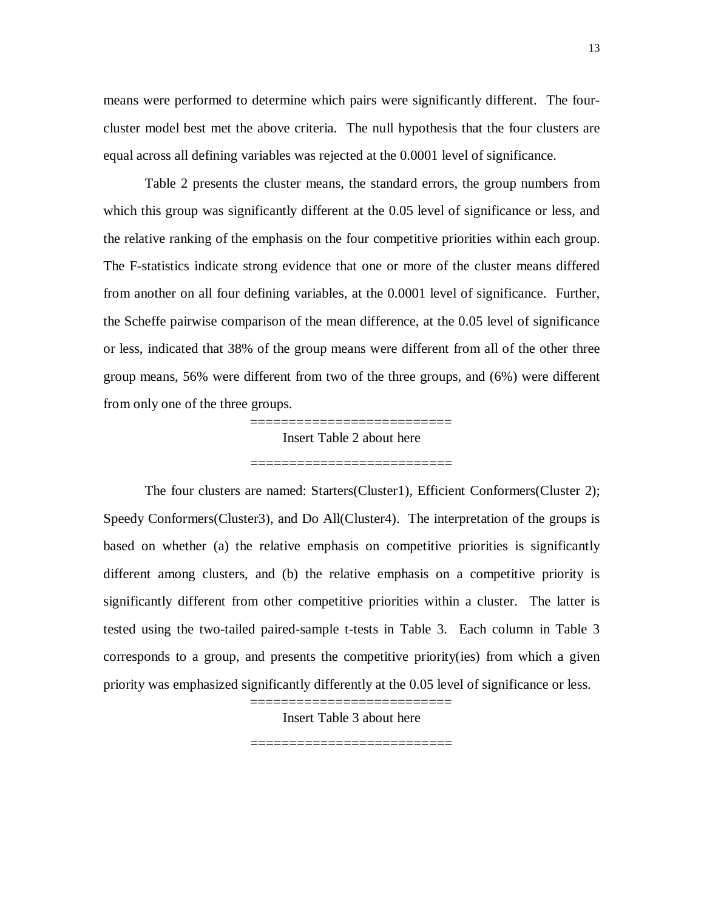means were performed to determine which pairs were significantly different. The fourcluster model best met the above criteria. The null hypothesis that the four clusters are equal across all defining variables was rejected at the 0.0001 level of significance.

Table 2 presents the cluster means, the standard errors, the group numbers from which this group was significantly different at the 0.05 level of significance or less, and the relative ranking of the emphasis on the four competitive priorities within each group. The F-statistics indicate strong evidence that one or more of the cluster means differed from another on all four defining variables, at the 0.0001 level of significance. Further, the Scheffe pairwise comparison of the mean difference, at the 0.05 level of significance or less, indicated that 38% of the group means were different from all of the other three group means, 56% were different from two of the three groups, and (6%) were different from only one of the three groups.

> =========================== Insert Table 2 about here ==========================

The four clusters are named: Starters(Cluster1), Efficient Conformers(Cluster 2); Speedy Conformers(Cluster3), and Do All(Cluster4). The interpretation of the groups is based on whether (a) the relative emphasis on competitive priorities is significantly different among clusters, and (b) the relative emphasis on a competitive priority is significantly different from other competitive priorities within a cluster. The latter is tested using the two-tailed paired-sample t-tests in Table 3. Each column in Table 3 corresponds to a group, and presents the competitive priority(ies) from which a given priority was emphasized significantly differently at the 0.05 level of significance or less.

> =========================== Insert Table 3 about here

> ===========================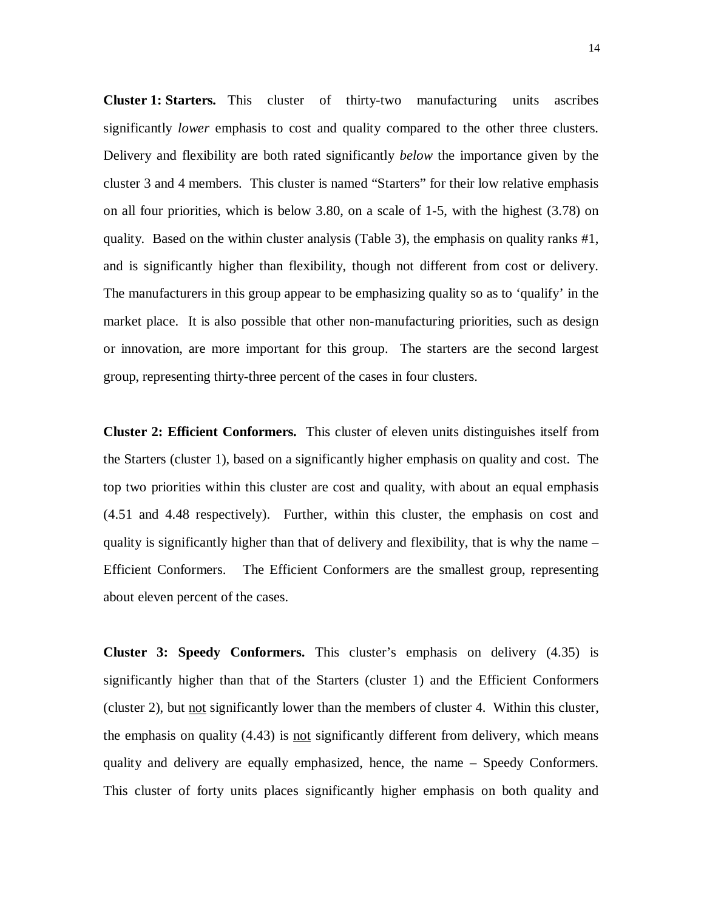**Cluster 1: Starters.** This cluster of thirty-two manufacturing units ascribes significantly *lower* emphasis to cost and quality compared to the other three clusters. Delivery and flexibility are both rated significantly *below* the importance given by the cluster 3 and 4 members. This cluster is named "Starters" for their low relative emphasis on all four priorities, which is below 3.80, on a scale of 1-5, with the highest (3.78) on quality. Based on the within cluster analysis (Table 3), the emphasis on quality ranks #1, and is significantly higher than flexibility, though not different from cost or delivery. The manufacturers in this group appear to be emphasizing quality so as to 'qualify' in the market place. It is also possible that other non-manufacturing priorities, such as design or innovation, are more important for this group. The starters are the second largest group, representing thirty-three percent of the cases in four clusters.

**Cluster 2: Efficient Conformers.** This cluster of eleven units distinguishes itself from the Starters (cluster 1), based on a significantly higher emphasis on quality and cost. The top two priorities within this cluster are cost and quality, with about an equal emphasis (4.51 and 4.48 respectively). Further, within this cluster, the emphasis on cost and quality is significantly higher than that of delivery and flexibility, that is why the name – Efficient Conformers. The Efficient Conformers are the smallest group, representing about eleven percent of the cases.

**Cluster 3: Speedy Conformers.** This cluster's emphasis on delivery (4.35) is significantly higher than that of the Starters (cluster 1) and the Efficient Conformers (cluster 2), but not significantly lower than the members of cluster 4. Within this cluster, the emphasis on quality (4.43) is not significantly different from delivery, which means quality and delivery are equally emphasized, hence, the name – Speedy Conformers. This cluster of forty units places significantly higher emphasis on both quality and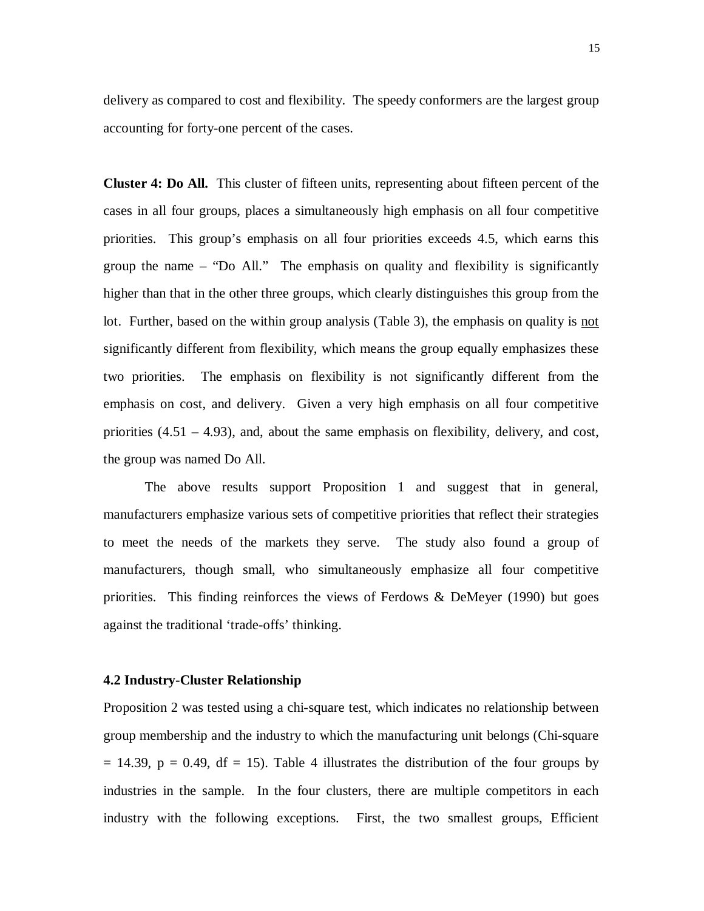delivery as compared to cost and flexibility. The speedy conformers are the largest group accounting for forty-one percent of the cases.

**Cluster 4: Do All.** This cluster of fifteen units, representing about fifteen percent of the cases in all four groups, places a simultaneously high emphasis on all four competitive priorities. This group's emphasis on all four priorities exceeds 4.5, which earns this group the name – "Do All." The emphasis on quality and flexibility is significantly higher than that in the other three groups, which clearly distinguishes this group from the lot. Further, based on the within group analysis (Table 3), the emphasis on quality is not significantly different from flexibility, which means the group equally emphasizes these two priorities. The emphasis on flexibility is not significantly different from the emphasis on cost, and delivery. Given a very high emphasis on all four competitive priorities  $(4.51 - 4.93)$ , and, about the same emphasis on flexibility, delivery, and cost, the group was named Do All.

The above results support Proposition 1 and suggest that in general, manufacturers emphasize various sets of competitive priorities that reflect their strategies to meet the needs of the markets they serve. The study also found a group of manufacturers, though small, who simultaneously emphasize all four competitive priorities. This finding reinforces the views of Ferdows & DeMeyer (1990) but goes against the traditional 'trade-offs' thinking.

#### **4.2 Industry-Cluster Relationship**

Proposition 2 was tested using a chi-square test, which indicates no relationship between group membership and the industry to which the manufacturing unit belongs (Chi-square  $= 14.39$ ,  $p = 0.49$ , df  $= 15$ ). Table 4 illustrates the distribution of the four groups by industries in the sample. In the four clusters, there are multiple competitors in each industry with the following exceptions. First, the two smallest groups, Efficient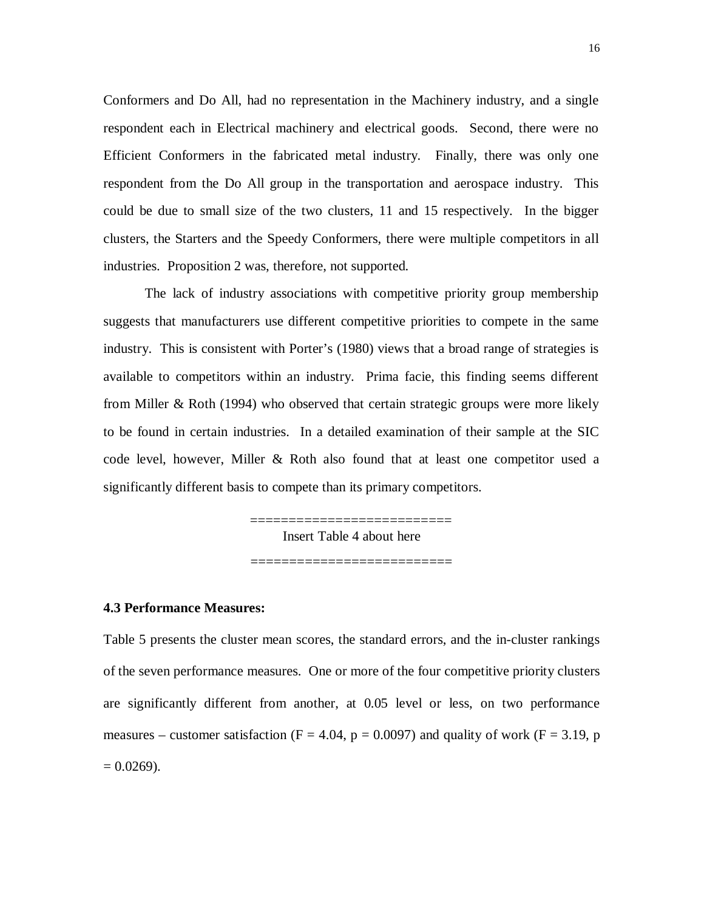Conformers and Do All, had no representation in the Machinery industry, and a single respondent each in Electrical machinery and electrical goods. Second, there were no Efficient Conformers in the fabricated metal industry. Finally, there was only one respondent from the Do All group in the transportation and aerospace industry. This could be due to small size of the two clusters, 11 and 15 respectively. In the bigger clusters, the Starters and the Speedy Conformers, there were multiple competitors in all industries. Proposition 2 was, therefore, not supported.

The lack of industry associations with competitive priority group membership suggests that manufacturers use different competitive priorities to compete in the same industry. This is consistent with Porter's (1980) views that a broad range of strategies is available to competitors within an industry. Prima facie, this finding seems different from Miller & Roth (1994) who observed that certain strategic groups were more likely to be found in certain industries. In a detailed examination of their sample at the SIC code level, however, Miller & Roth also found that at least one competitor used a significantly different basis to compete than its primary competitors.

> =========================== Insert Table 4 about here

> > ==========================

#### **4.3 Performance Measures:**

Table 5 presents the cluster mean scores, the standard errors, and the in-cluster rankings of the seven performance measures. One or more of the four competitive priority clusters are significantly different from another, at 0.05 level or less, on two performance measures – customer satisfaction ( $F = 4.04$ ,  $p = 0.0097$ ) and quality of work ( $F = 3.19$ , p  $= 0.0269$ ).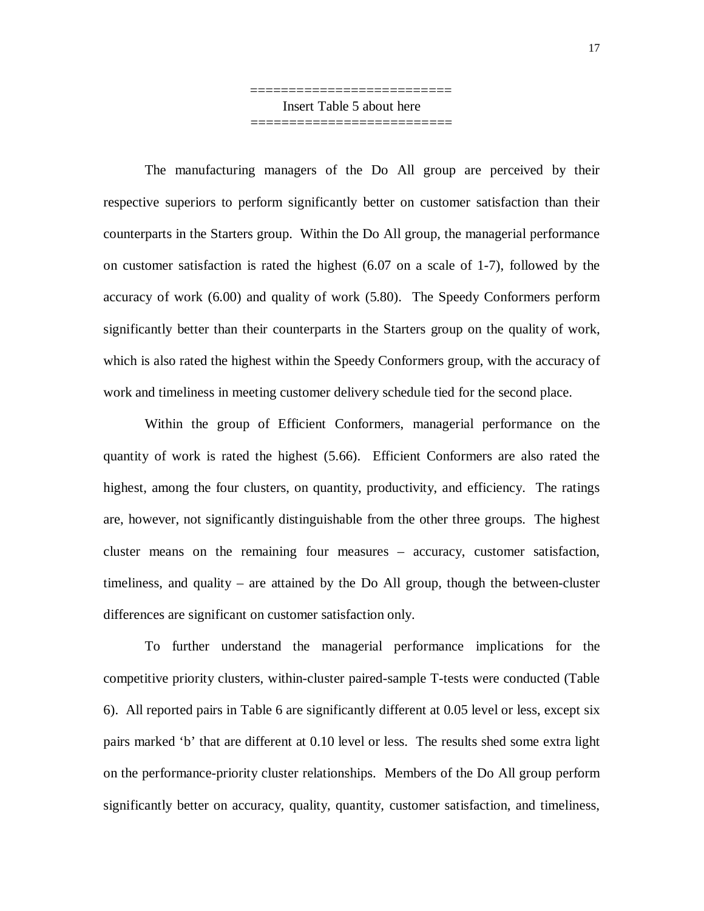=========================== Insert Table 5 about here ==========================

The manufacturing managers of the Do All group are perceived by their respective superiors to perform significantly better on customer satisfaction than their counterparts in the Starters group. Within the Do All group, the managerial performance on customer satisfaction is rated the highest (6.07 on a scale of 1-7), followed by the accuracy of work (6.00) and quality of work (5.80). The Speedy Conformers perform significantly better than their counterparts in the Starters group on the quality of work, which is also rated the highest within the Speedy Conformers group, with the accuracy of work and timeliness in meeting customer delivery schedule tied for the second place.

Within the group of Efficient Conformers, managerial performance on the quantity of work is rated the highest (5.66). Efficient Conformers are also rated the highest, among the four clusters, on quantity, productivity, and efficiency. The ratings are, however, not significantly distinguishable from the other three groups. The highest cluster means on the remaining four measures – accuracy, customer satisfaction, timeliness, and quality – are attained by the Do All group, though the between-cluster differences are significant on customer satisfaction only.

To further understand the managerial performance implications for the competitive priority clusters, within-cluster paired-sample T-tests were conducted (Table 6). All reported pairs in Table 6 are significantly different at 0.05 level or less, except six pairs marked 'b' that are different at 0.10 level or less. The results shed some extra light on the performance-priority cluster relationships. Members of the Do All group perform significantly better on accuracy, quality, quantity, customer satisfaction, and timeliness,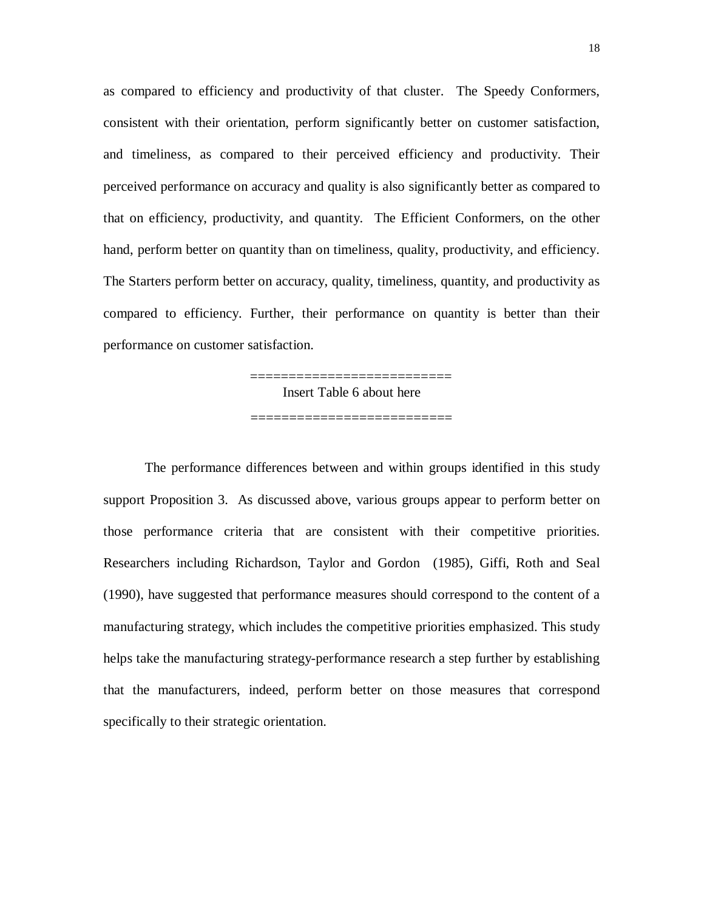as compared to efficiency and productivity of that cluster. The Speedy Conformers, consistent with their orientation, perform significantly better on customer satisfaction, and timeliness, as compared to their perceived efficiency and productivity. Their perceived performance on accuracy and quality is also significantly better as compared to that on efficiency, productivity, and quantity. The Efficient Conformers, on the other hand, perform better on quantity than on timeliness, quality, productivity, and efficiency. The Starters perform better on accuracy, quality, timeliness, quantity, and productivity as compared to efficiency. Further, their performance on quantity is better than their performance on customer satisfaction.

> =========================== Insert Table 6 about here

> ==========================

The performance differences between and within groups identified in this study support Proposition 3. As discussed above, various groups appear to perform better on those performance criteria that are consistent with their competitive priorities. Researchers including Richardson, Taylor and Gordon (1985), Giffi, Roth and Seal (1990), have suggested that performance measures should correspond to the content of a manufacturing strategy, which includes the competitive priorities emphasized. This study helps take the manufacturing strategy-performance research a step further by establishing that the manufacturers, indeed, perform better on those measures that correspond specifically to their strategic orientation.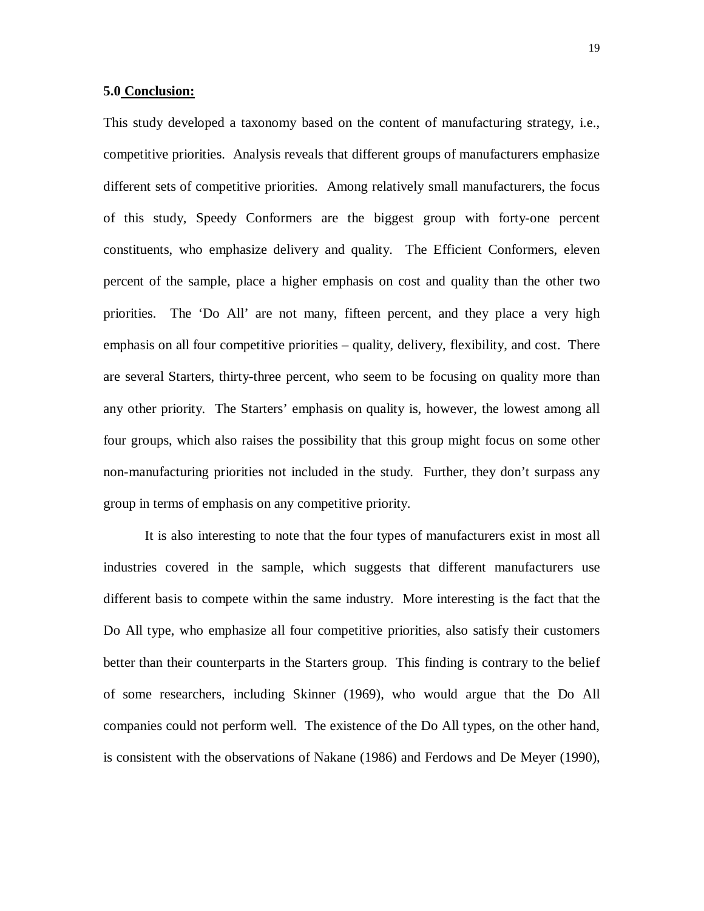#### **5.0 Conclusion:**

This study developed a taxonomy based on the content of manufacturing strategy, i.e., competitive priorities. Analysis reveals that different groups of manufacturers emphasize different sets of competitive priorities. Among relatively small manufacturers, the focus of this study, Speedy Conformers are the biggest group with forty-one percent constituents, who emphasize delivery and quality. The Efficient Conformers, eleven percent of the sample, place a higher emphasis on cost and quality than the other two priorities. The 'Do All' are not many, fifteen percent, and they place a very high emphasis on all four competitive priorities – quality, delivery, flexibility, and cost. There are several Starters, thirty-three percent, who seem to be focusing on quality more than any other priority. The Starters' emphasis on quality is, however, the lowest among all four groups, which also raises the possibility that this group might focus on some other non-manufacturing priorities not included in the study. Further, they don't surpass any group in terms of emphasis on any competitive priority.

It is also interesting to note that the four types of manufacturers exist in most all industries covered in the sample, which suggests that different manufacturers use different basis to compete within the same industry. More interesting is the fact that the Do All type, who emphasize all four competitive priorities, also satisfy their customers better than their counterparts in the Starters group. This finding is contrary to the belief of some researchers, including Skinner (1969), who would argue that the Do All companies could not perform well. The existence of the Do All types, on the other hand, is consistent with the observations of Nakane (1986) and Ferdows and De Meyer (1990),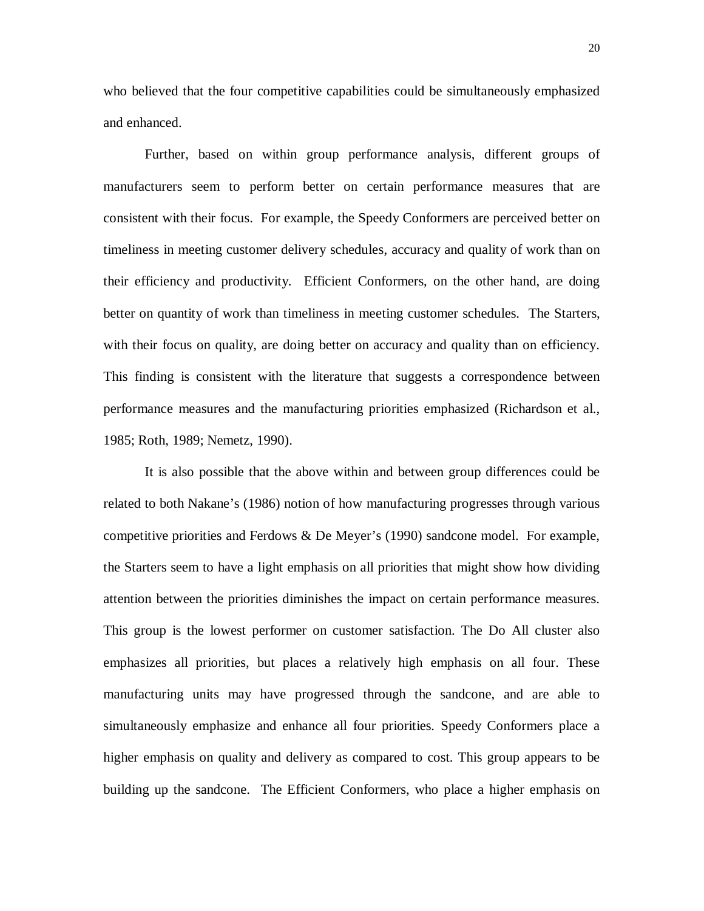who believed that the four competitive capabilities could be simultaneously emphasized and enhanced.

Further, based on within group performance analysis, different groups of manufacturers seem to perform better on certain performance measures that are consistent with their focus. For example, the Speedy Conformers are perceived better on timeliness in meeting customer delivery schedules, accuracy and quality of work than on their efficiency and productivity. Efficient Conformers, on the other hand, are doing better on quantity of work than timeliness in meeting customer schedules. The Starters, with their focus on quality, are doing better on accuracy and quality than on efficiency. This finding is consistent with the literature that suggests a correspondence between performance measures and the manufacturing priorities emphasized (Richardson et al., 1985; Roth, 1989; Nemetz, 1990).

It is also possible that the above within and between group differences could be related to both Nakane's (1986) notion of how manufacturing progresses through various competitive priorities and Ferdows & De Meyer's (1990) sandcone model. For example, the Starters seem to have a light emphasis on all priorities that might show how dividing attention between the priorities diminishes the impact on certain performance measures. This group is the lowest performer on customer satisfaction. The Do All cluster also emphasizes all priorities, but places a relatively high emphasis on all four. These manufacturing units may have progressed through the sandcone, and are able to simultaneously emphasize and enhance all four priorities. Speedy Conformers place a higher emphasis on quality and delivery as compared to cost. This group appears to be building up the sandcone. The Efficient Conformers, who place a higher emphasis on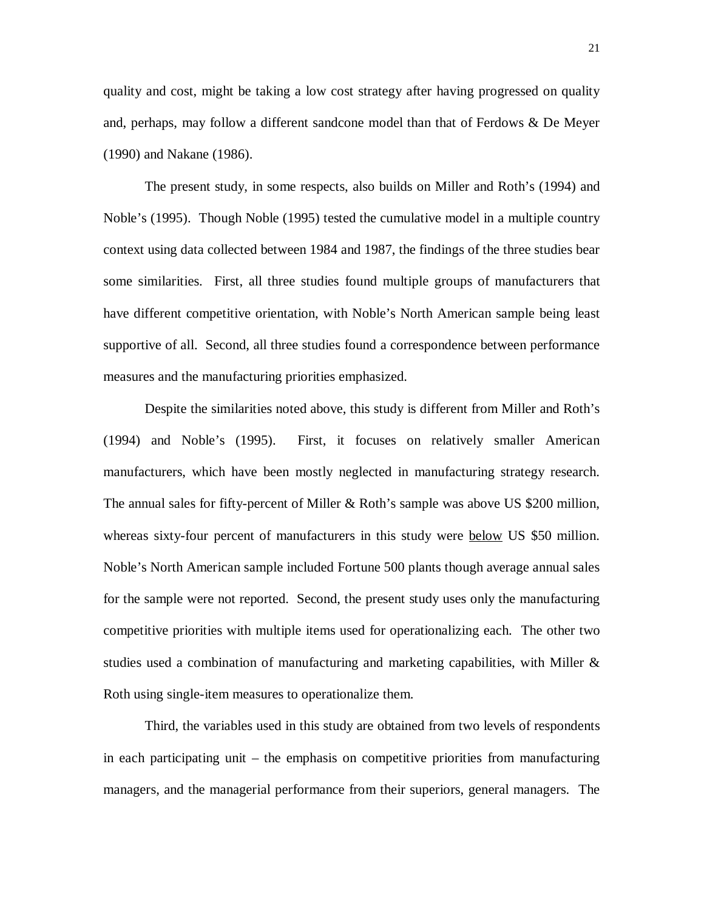quality and cost, might be taking a low cost strategy after having progressed on quality and, perhaps, may follow a different sandcone model than that of Ferdows & De Meyer (1990) and Nakane (1986).

The present study, in some respects, also builds on Miller and Roth's (1994) and Noble's (1995). Though Noble (1995) tested the cumulative model in a multiple country context using data collected between 1984 and 1987, the findings of the three studies bear some similarities. First, all three studies found multiple groups of manufacturers that have different competitive orientation, with Noble's North American sample being least supportive of all. Second, all three studies found a correspondence between performance measures and the manufacturing priorities emphasized.

Despite the similarities noted above, this study is different from Miller and Roth's (1994) and Noble's (1995). First, it focuses on relatively smaller American manufacturers, which have been mostly neglected in manufacturing strategy research. The annual sales for fifty-percent of Miller & Roth's sample was above US \$200 million, whereas sixty-four percent of manufacturers in this study were **below** US \$50 million. Noble's North American sample included Fortune 500 plants though average annual sales for the sample were not reported. Second, the present study uses only the manufacturing competitive priorities with multiple items used for operationalizing each. The other two studies used a combination of manufacturing and marketing capabilities, with Miller & Roth using single-item measures to operationalize them.

Third, the variables used in this study are obtained from two levels of respondents in each participating unit – the emphasis on competitive priorities from manufacturing managers, and the managerial performance from their superiors, general managers. The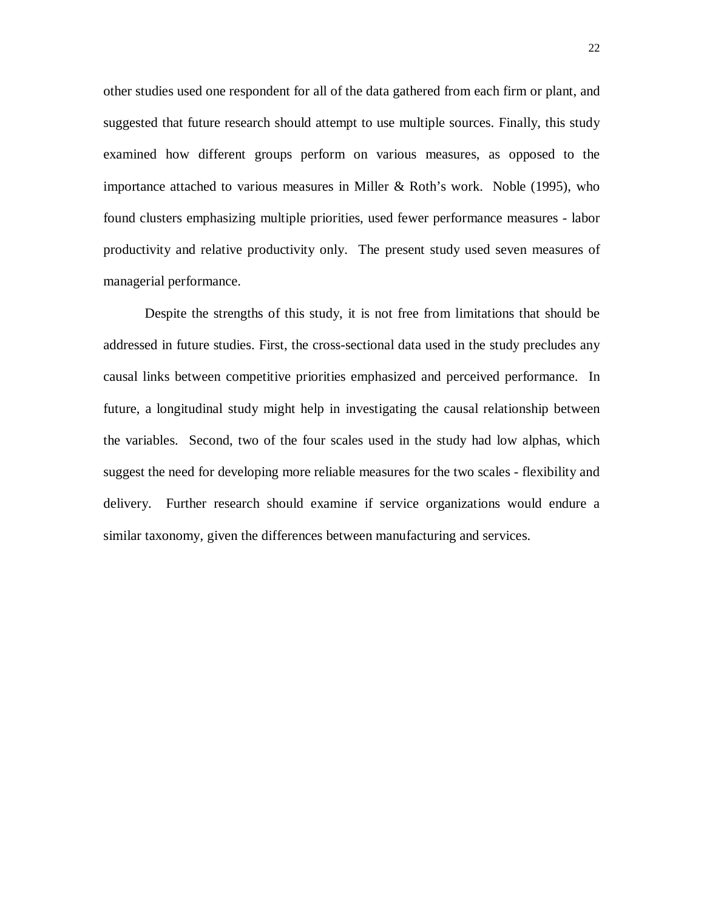other studies used one respondent for all of the data gathered from each firm or plant, and suggested that future research should attempt to use multiple sources. Finally, this study examined how different groups perform on various measures, as opposed to the importance attached to various measures in Miller & Roth's work. Noble (1995), who found clusters emphasizing multiple priorities, used fewer performance measures - labor productivity and relative productivity only. The present study used seven measures of managerial performance.

Despite the strengths of this study, it is not free from limitations that should be addressed in future studies. First, the cross-sectional data used in the study precludes any causal links between competitive priorities emphasized and perceived performance. In future, a longitudinal study might help in investigating the causal relationship between the variables. Second, two of the four scales used in the study had low alphas, which suggest the need for developing more reliable measures for the two scales - flexibility and delivery. Further research should examine if service organizations would endure a similar taxonomy, given the differences between manufacturing and services.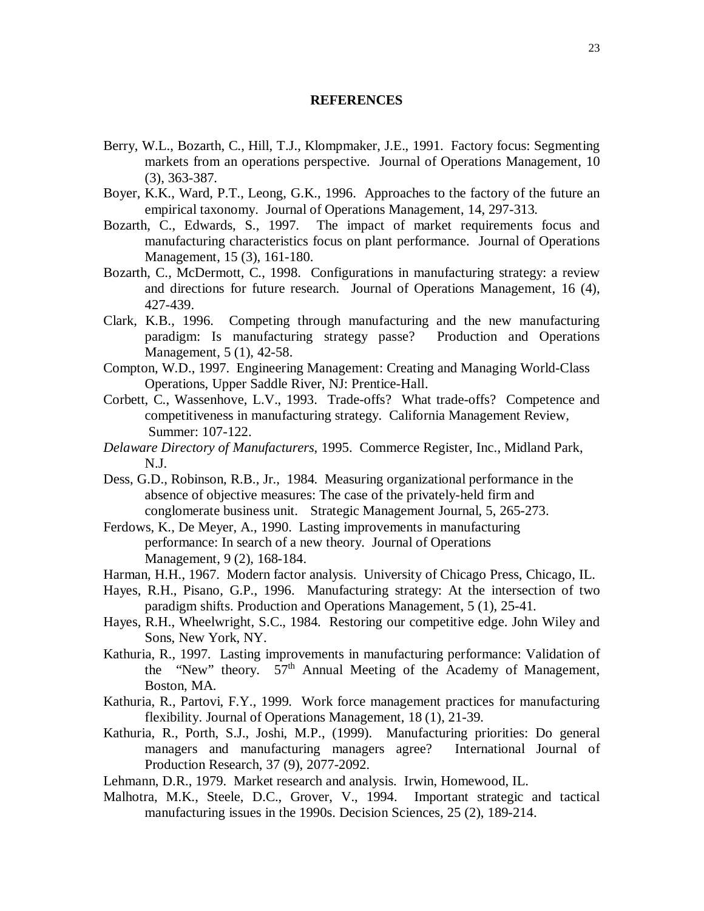#### **REFERENCES**

- Berry, W.L., Bozarth, C., Hill, T.J., Klompmaker, J.E., 1991. Factory focus: Segmenting markets from an operations perspective. Journal of Operations Management, 10 (3), 363-387.
- Boyer, K.K., Ward, P.T., Leong, G.K., 1996. Approaches to the factory of the future an empirical taxonomy. Journal of Operations Management, 14, 297-313.
- Bozarth, C., Edwards, S., 1997. The impact of market requirements focus and manufacturing characteristics focus on plant performance. Journal of Operations Management, 15 (3), 161-180.
- Bozarth, C., McDermott, C., 1998. Configurations in manufacturing strategy: a review and directions for future research. Journal of Operations Management, 16 (4), 427-439.
- Clark, K.B., 1996. Competing through manufacturing and the new manufacturing paradigm: Is manufacturing strategy passe? Production and Operations Management, 5 (1), 42-58.
- Compton, W.D., 1997. Engineering Management: Creating and Managing World-Class Operations, Upper Saddle River, NJ: Prentice-Hall.
- Corbett, C., Wassenhove, L.V., 1993. Trade-offs? What trade-offs? Competence and competitiveness in manufacturing strategy. California Management Review, Summer: 107-122.
- *Delaware Directory of Manufacturers*, 1995. Commerce Register, Inc., Midland Park, N.J.
- Dess, G.D., Robinson, R.B., Jr., 1984. Measuring organizational performance in the absence of objective measures: The case of the privately-held firm and conglomerate business unit. Strategic Management Journal, 5, 265-273.
- Ferdows, K., De Meyer, A., 1990. Lasting improvements in manufacturing performance: In search of a new theory.Journal of Operations Management, 9 (2), 168-184.
- Harman, H.H., 1967. Modern factor analysis. University of Chicago Press, Chicago, IL.
- Hayes, R.H., Pisano, G.P., 1996. Manufacturing strategy: At the intersection of two paradigm shifts. Production and Operations Management, 5 (1), 25-41.
- Hayes, R.H., Wheelwright, S.C., 1984. Restoring our competitive edge. John Wiley and Sons, New York, NY.
- Kathuria, R., 1997. Lasting improvements in manufacturing performance: Validation of the "New" theory.  $57<sup>th</sup>$  Annual Meeting of the Academy of Management, Boston, MA.
- Kathuria, R., Partovi, F.Y., 1999. Work force management practices for manufacturing flexibility. Journal of Operations Management, 18 (1), 21-39.
- Kathuria, R., Porth, S.J., Joshi, M.P., (1999). Manufacturing priorities: Do general managers and manufacturing managers agree? International Journal of Production Research, 37 (9), 2077-2092.
- Lehmann, D.R., 1979. Market research and analysis. Irwin, Homewood, IL.
- Malhotra, M.K., Steele, D.C., Grover, V., 1994. Important strategic and tactical manufacturing issues in the 1990s. Decision Sciences, 25 (2), 189-214.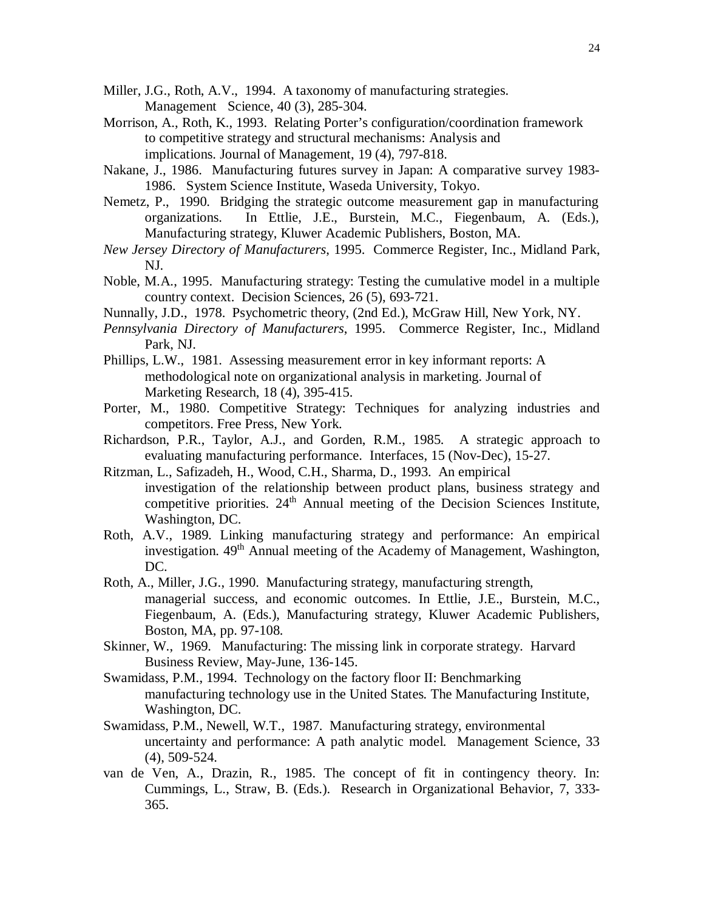- Miller, J.G., Roth, A.V., 1994. A taxonomy of manufacturing strategies. Management Science, 40 (3), 285-304.
- Morrison, A., Roth, K., 1993. Relating Porter's configuration/coordination framework to competitive strategy and structural mechanisms: Analysis and implications. Journal of Management, 19 (4), 797-818.
- Nakane, J., 1986. Manufacturing futures survey in Japan: A comparative survey 1983- 1986. System Science Institute, Waseda University, Tokyo.
- Nemetz, P., 1990. Bridging the strategic outcome measurement gap in manufacturing organizations. In Ettlie, J.E., Burstein, M.C., Fiegenbaum, A. (Eds.), Manufacturing strategy, Kluwer Academic Publishers, Boston, MA.
- *New Jersey Directory of Manufacturers*, 1995. Commerce Register, Inc., Midland Park, NJ.
- Noble, M.A., 1995. Manufacturing strategy: Testing the cumulative model in a multiple country context. Decision Sciences, 26 (5), 693-721.
- Nunnally, J.D., 1978. Psychometric theory, (2nd Ed.), McGraw Hill, New York, NY.
- *Pennsylvania Directory of Manufacturers*, 1995. Commerce Register, Inc., Midland Park, NJ.
- Phillips, L.W., 1981. Assessing measurement error in key informant reports: A methodological note on organizational analysis in marketing. Journal of Marketing Research, 18 (4), 395-415.
- Porter, M., 1980. Competitive Strategy: Techniques for analyzing industries and competitors. Free Press, New York.
- Richardson, P.R., Taylor, A.J., and Gorden, R.M., 1985. A strategic approach to evaluating manufacturing performance. Interfaces, 15 (Nov-Dec), 15-27.
- Ritzman, L., Safizadeh, H., Wood, C.H., Sharma, D., 1993. An empirical investigation of the relationship between product plans, business strategy and competitive priorities.  $24<sup>th</sup>$  Annual meeting of the Decision Sciences Institute, Washington, DC.
- Roth, A.V., 1989. Linking manufacturing strategy and performance: An empirical investigation. 49<sup>th</sup> Annual meeting of the Academy of Management, Washington, DC.
- Roth, A., Miller, J.G., 1990. Manufacturing strategy, manufacturing strength, managerial success, and economic outcomes. In Ettlie, J.E., Burstein, M.C., Fiegenbaum, A. (Eds.), Manufacturing strategy, Kluwer Academic Publishers, Boston, MA, pp. 97-108.
- Skinner, W., 1969. Manufacturing: The missing link in corporate strategy. Harvard Business Review, May-June, 136-145.
- Swamidass, P.M., 1994. Technology on the factory floor II: Benchmarking manufacturing technology use in the United States*.* The Manufacturing Institute*,* Washington, DC.
- Swamidass, P.M., Newell, W.T., 1987. Manufacturing strategy, environmental uncertainty and performance: A path analytic model. Management Science, 33 (4), 509-524.
- van de Ven, A., Drazin, R., 1985. The concept of fit in contingency theory. In: Cummings, L., Straw, B. (Eds.). Research in Organizational Behavior, 7, 333- 365.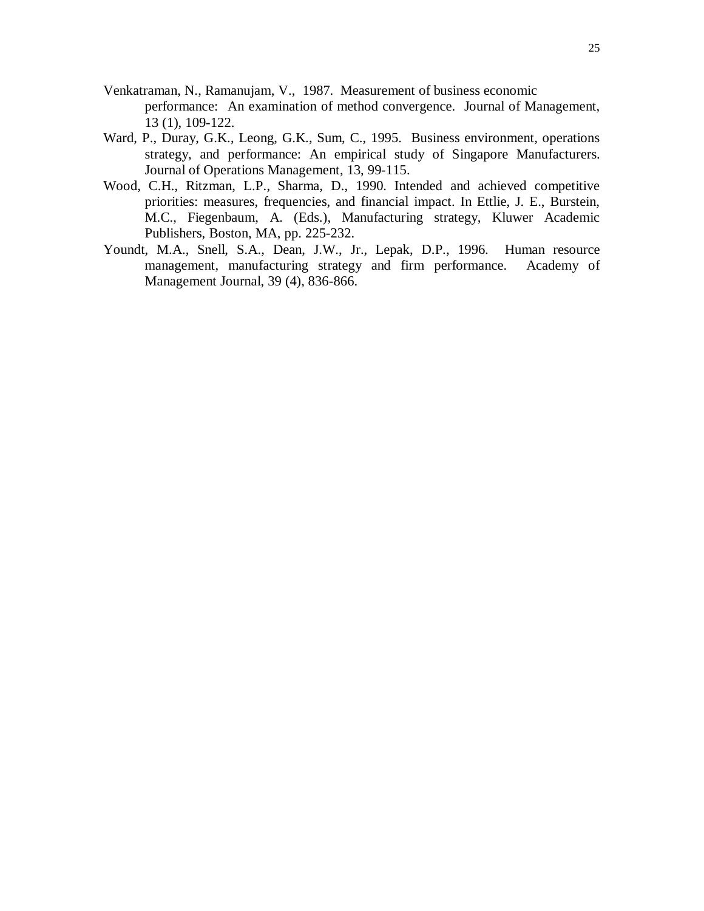- Venkatraman, N., Ramanujam, V., 1987. Measurement of business economic performance: An examination of method convergence. Journal of Management, 13 (1), 109-122.
- Ward, P., Duray, G.K., Leong, G.K., Sum, C., 1995. Business environment, operations strategy, and performance: An empirical study of Singapore Manufacturers. Journal of Operations Management, 13, 99-115.
- Wood, C.H., Ritzman, L.P., Sharma, D., 1990. Intended and achieved competitive priorities: measures, frequencies, and financial impact. In Ettlie, J. E., Burstein, M.C., Fiegenbaum, A. (Eds.), Manufacturing strategy, Kluwer Academic Publishers, Boston, MA, pp. 225-232.
- Youndt, M.A., Snell, S.A., Dean, J.W., Jr., Lepak, D.P., 1996. Human resource management, manufacturing strategy and firm performance. Academy of Management Journal, 39 (4), 836-866.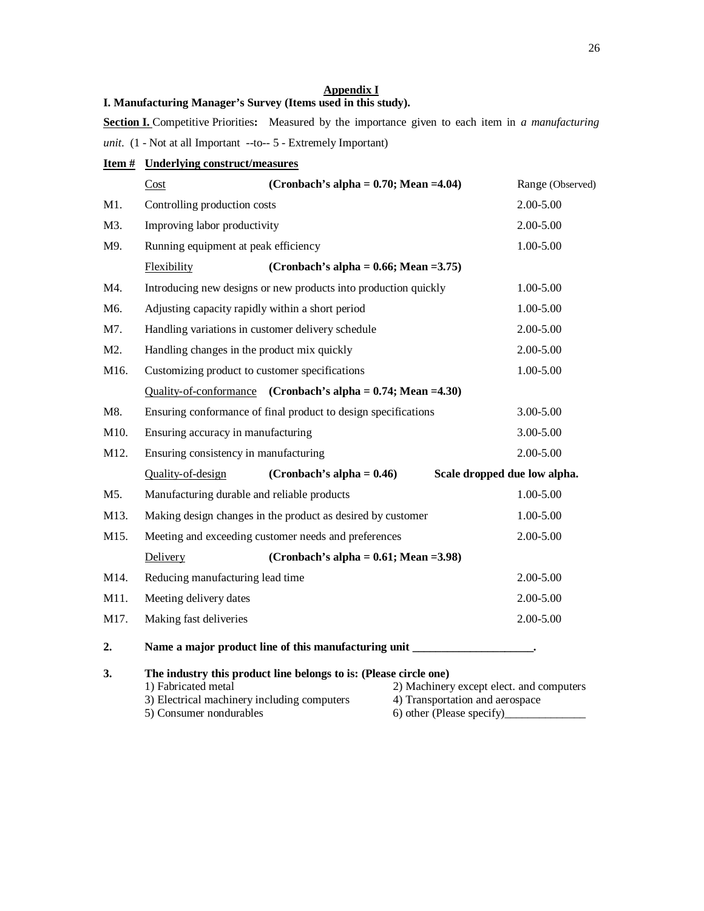#### **Appendix I**

#### **I. Manufacturing Manager's Survey (Items used in this study).**

**Section I.** Competitive Priorities**:** Measured by the importance given to each item in *a manufacturing unit*. (1 - Not at all Important --to-- 5 - Extremely Important)

| <b>Item #</b> Underlying construct/measures |
|---------------------------------------------|
|---------------------------------------------|

|                  | Cost                                                | (Cronbach's alpha = $0.70$ ; Mean = 4.04)                                                                        |                                                              | Range (Observed)                         |
|------------------|-----------------------------------------------------|------------------------------------------------------------------------------------------------------------------|--------------------------------------------------------------|------------------------------------------|
| M1.              | Controlling production costs                        |                                                                                                                  |                                                              | 2.00-5.00                                |
| M3.              | Improving labor productivity                        |                                                                                                                  |                                                              | 2.00-5.00                                |
| M9.              | Running equipment at peak efficiency                |                                                                                                                  |                                                              | 1.00-5.00                                |
|                  | Flexibility                                         | (Cronbach's alpha = $0.66$ ; Mean = 3.75)                                                                        |                                                              |                                          |
| M4.              |                                                     | Introducing new designs or new products into production quickly                                                  |                                                              | 1.00-5.00                                |
| M6.              |                                                     | Adjusting capacity rapidly within a short period                                                                 |                                                              | 1.00-5.00                                |
| M7.              |                                                     | Handling variations in customer delivery schedule                                                                |                                                              | 2.00-5.00                                |
| M <sub>2</sub> . |                                                     | Handling changes in the product mix quickly                                                                      |                                                              | $2.00 - 5.00$                            |
| M16.             |                                                     | Customizing product to customer specifications                                                                   |                                                              | 1.00-5.00                                |
|                  |                                                     | Quality-of-conformance (Cronbach's alpha = $0.74$ ; Mean = 4.30)                                                 |                                                              |                                          |
| M8.              |                                                     | Ensuring conformance of final product to design specifications                                                   |                                                              | 3.00-5.00                                |
| M10.             | Ensuring accuracy in manufacturing<br>$3.00 - 5.00$ |                                                                                                                  |                                                              |                                          |
| M12.             | Ensuring consistency in manufacturing               | 2.00-5.00                                                                                                        |                                                              |                                          |
|                  | Quality-of-design                                   | (Cronbach's alpha = $0.46$ )                                                                                     |                                                              | Scale dropped due low alpha.             |
| M5.              |                                                     | Manufacturing durable and reliable products                                                                      |                                                              | 1.00-5.00                                |
| M13.             |                                                     | Making design changes in the product as desired by customer                                                      |                                                              | 1.00-5.00                                |
| M15.             |                                                     | Meeting and exceeding customer needs and preferences                                                             |                                                              | 2.00-5.00                                |
|                  | Delivery                                            | (Cronbach's alpha = $0.61$ ; Mean = 3.98)                                                                        |                                                              |                                          |
| M14.             | Reducing manufacturing lead time                    |                                                                                                                  |                                                              | 2.00-5.00                                |
| M11.             | Meeting delivery dates                              |                                                                                                                  |                                                              | 2.00-5.00                                |
| M17.             | Making fast deliveries                              |                                                                                                                  |                                                              | 2.00-5.00                                |
| 2.               |                                                     | Name a major product line of this manufacturing unit ____________________________                                |                                                              |                                          |
| 3.               | 1) Fabricated metal<br>5) Consumer nondurables      | The industry this product line belongs to is: (Please circle one)<br>3) Electrical machinery including computers | 4) Transportation and aerospace<br>6) other (Please specify) | 2) Machinery except elect. and computers |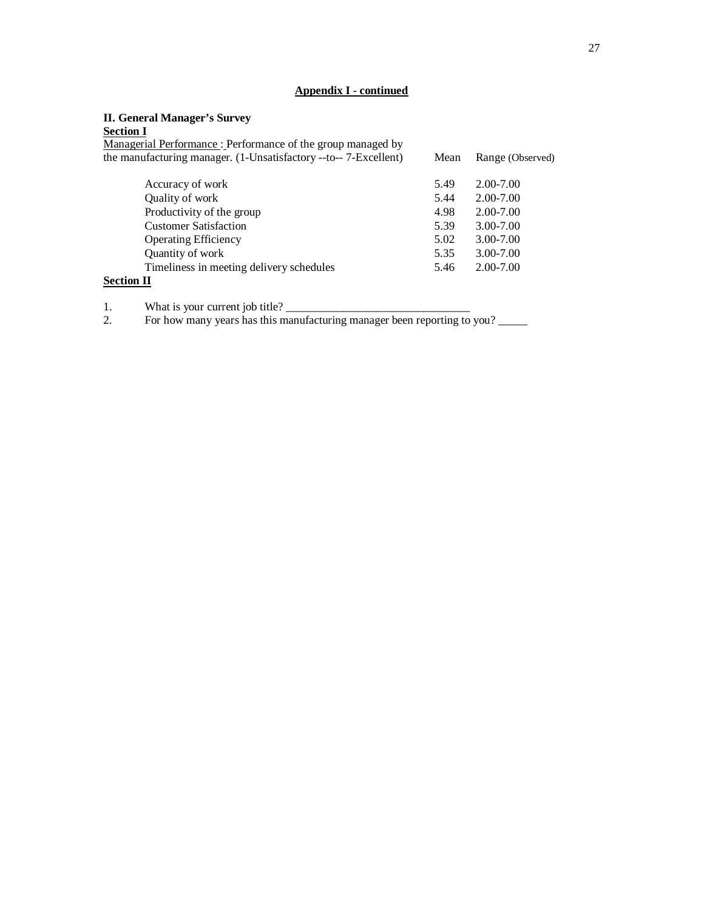## **Appendix I - continued**

#### **II. General Manager's Survey**

#### **Section I**

| Managerial Performance: Performance of the group managed by<br>the manufacturing manager. (1-Unsatisfactory --to-- 7-Excellent) | Mean | Range (Observed) |
|---------------------------------------------------------------------------------------------------------------------------------|------|------------------|
| Accuracy of work                                                                                                                | 5.49 | $2.00 - 7.00$    |
| Quality of work                                                                                                                 | 5.44 | 2.00-7.00        |
| Productivity of the group                                                                                                       | 4.98 | 2.00-7.00        |
| <b>Customer Satisfaction</b>                                                                                                    | 5.39 | 3.00-7.00        |
| <b>Operating Efficiency</b>                                                                                                     | 5.02 | 3.00-7.00        |
| Quantity of work                                                                                                                | 5.35 | 3.00-7.00        |
| Timeliness in meeting delivery schedules                                                                                        | 5.46 | 2.00-7.00        |
| <b>Section II</b>                                                                                                               |      |                  |

1. What is your current job title? \_\_\_\_\_\_\_\_\_\_\_\_\_\_\_\_\_\_\_\_\_\_\_\_\_\_\_\_\_\_\_\_

2. For how many years has this manufacturing manager been reporting to you?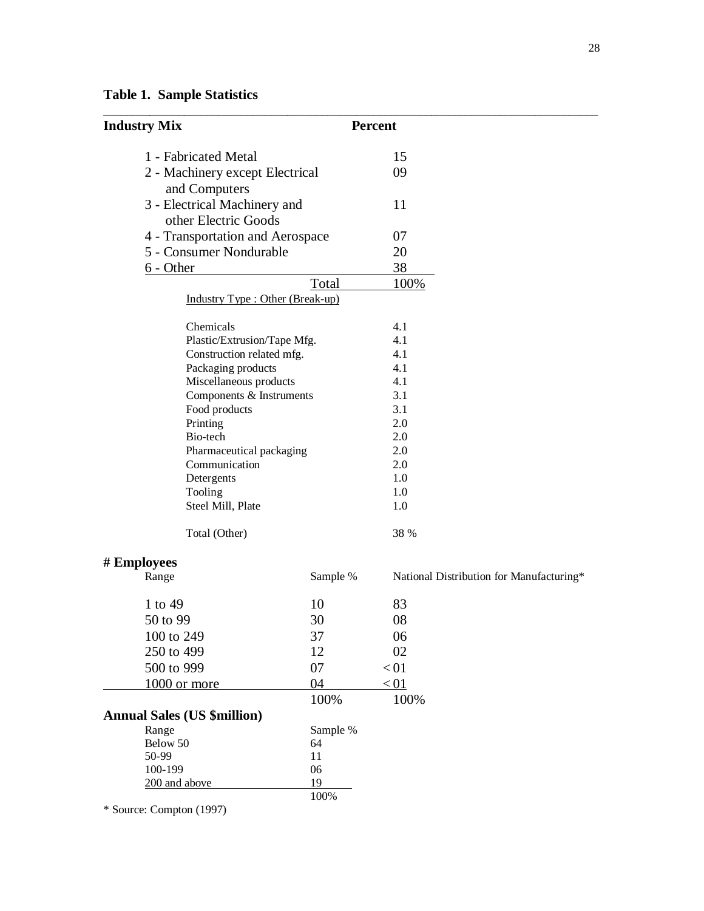**Table 1. Sample Statistics**

| <b>Industry Mix</b>                |          | <b>Percent</b>                           |
|------------------------------------|----------|------------------------------------------|
| 1 - Fabricated Metal               |          | 15                                       |
| 2 - Machinery except Electrical    |          | 09                                       |
| and Computers                      |          |                                          |
| 3 - Electrical Machinery and       |          | 11                                       |
| other Electric Goods               |          |                                          |
| 4 - Transportation and Aerospace   |          | 07                                       |
| 5 - Consumer Nondurable            |          | 20                                       |
| $6 - Other$                        |          | 38                                       |
|                                    |          |                                          |
|                                    | Total    | 100%                                     |
| Industry Type : Other (Break-up)   |          |                                          |
| Chemicals                          |          | 4.1                                      |
| Plastic/Extrusion/Tape Mfg.        |          | 4.1                                      |
| Construction related mfg.          |          | 4.1                                      |
| Packaging products                 |          | 4.1                                      |
| Miscellaneous products             |          | 4.1                                      |
| Components & Instruments           |          | 3.1                                      |
| Food products                      |          | 3.1                                      |
| Printing                           |          | 2.0                                      |
| Bio-tech                           |          | 2.0                                      |
| Pharmaceutical packaging           |          | 2.0                                      |
| Communication                      |          | 2.0                                      |
| Detergents                         |          | 1.0                                      |
| Tooling                            |          | 1.0                                      |
| Steel Mill, Plate                  |          | 1.0                                      |
| Total (Other)                      |          | 38 %                                     |
| # Employees                        |          |                                          |
| Range                              | Sample % | National Distribution for Manufacturing* |
|                                    |          |                                          |
| 1 to 49                            | 10       | 83                                       |
| 50 to 99                           | 30       | 08                                       |
| 100 to 249                         | 37       | 06                                       |
| 250 to 499                         | 12       | 02                                       |
| 500 to 999                         | 07       | < 01                                     |
| 1000 or more                       | 04       | < 01                                     |
|                                    | 100%     | 100%                                     |
| <b>Annual Sales (US \$million)</b> |          |                                          |
| Range                              | Sample % |                                          |
| Below 50                           | 64       |                                          |
| 50-99                              | 11       |                                          |
| 100-199                            | 06       |                                          |
| 200 and above                      | 19       |                                          |
| * Source: Compton (1997)           | 100%     |                                          |
|                                    |          |                                          |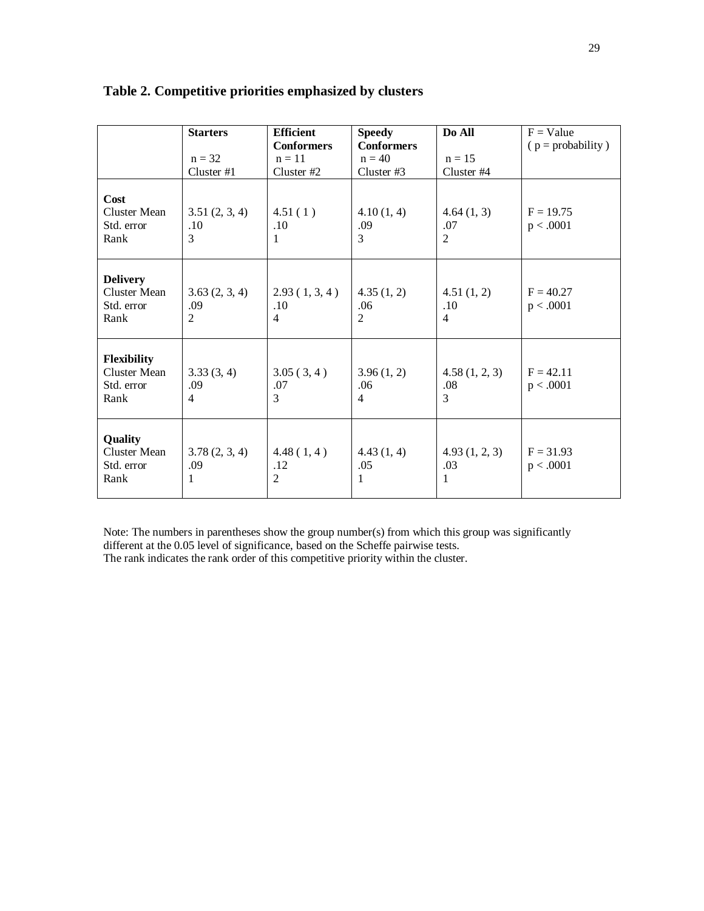|                                                              | <b>Starters</b><br>$n = 32$<br>Cluster #1 | <b>Efficient</b><br><b>Conformers</b><br>$n = 11$<br>Cluster #2 | <b>Speedy</b><br><b>Conformers</b><br>$n = 40$<br>Cluster #3 | Do All<br>$n = 15$<br>Cluster #4    | $F = Value$<br>$(p = probability)$ |
|--------------------------------------------------------------|-------------------------------------------|-----------------------------------------------------------------|--------------------------------------------------------------|-------------------------------------|------------------------------------|
| Cost<br><b>Cluster Mean</b><br>Std. error<br>Rank            | 3.51(2, 3, 4)<br>.10<br>3                 | 4.51(1)<br>.10<br>1                                             | 4.10(1, 4)<br>.09<br>3                                       | 4.64(1, 3)<br>.07<br>$\overline{2}$ | $F = 19.75$<br>p < .0001           |
| <b>Delivery</b><br><b>Cluster Mean</b><br>Std. error<br>Rank | 3.63(2, 3, 4)<br>.09<br>2                 | 2.93(1, 3, 4)<br>.10<br>4                                       | 4.35(1, 2)<br>.06<br>$\overline{2}$                          | 4.51(1, 2)<br>.10<br>$\overline{4}$ | $F = 40.27$<br>p < .0001           |
| Flexibility<br><b>Cluster Mean</b><br>Std. error<br>Rank     | 3.33(3, 4)<br>.09<br>4                    | 3.05(3,4)<br>.07<br>3                                           | 3.96(1, 2)<br>.06<br>4                                       | 4.58(1, 2, 3)<br>.08<br>3           | $F = 42.11$<br>p < .0001           |
| Quality<br><b>Cluster Mean</b><br>Std. error<br>Rank         | 3.78(2, 3, 4)<br>.09<br>1                 | 4.48(1,4)<br>.12<br>$\overline{2}$                              | 4.43(1, 4)<br>.05<br>1                                       | 4.93(1, 2, 3)<br>.03<br>1           | $F = 31.93$<br>p < .0001           |

# **Table 2. Competitive priorities emphasized by clusters**

Note: The numbers in parentheses show the group number(s) from which this group was significantly different at the 0.05 level of significance, based on the Scheffe pairwise tests.

The rank indicates the rank order of this competitive priority within the cluster.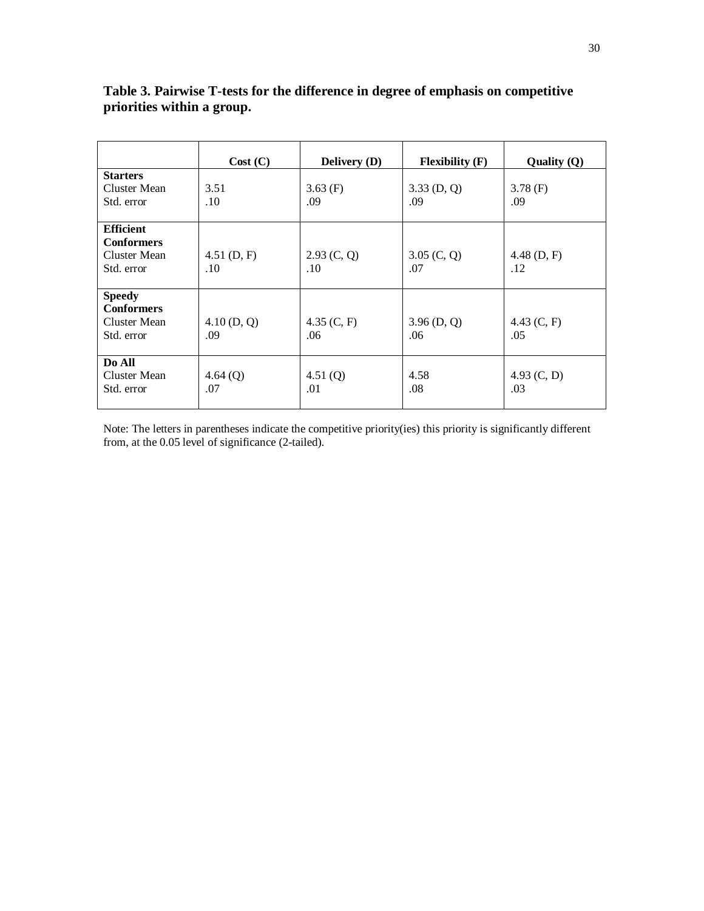|                                                                         | Cost (C)             | <b>Delivery</b> (D)  | $F$ lexibility $(F)$ | Quality $(Q)$        |
|-------------------------------------------------------------------------|----------------------|----------------------|----------------------|----------------------|
| <b>Starters</b>                                                         |                      |                      |                      |                      |
| Cluster Mean<br>Std. error                                              | 3.51<br>.10          | $3.63$ (F)<br>.09    | 3.33(D, Q)<br>.09    | $3.78$ (F)<br>.09    |
| <b>Efficient</b><br><b>Conformers</b><br>Cluster Mean<br>Std. error     | 4.51(D, F)<br>.10    | 2.93 (C, Q)<br>.10   | 3.05(C, Q)<br>.07    | $4.48$ (D, F)<br>.12 |
| <b>Speedy</b><br><b>Conformers</b><br><b>Cluster Mean</b><br>Std. error | $4.10$ (D, Q)<br>.09 | 4.35 $(C, F)$<br>.06 | $3.96$ (D, Q)<br>.06 | 4.43 $(C, F)$<br>.05 |
| Do All<br>Cluster Mean<br>Std. error                                    | 4.64(Q)<br>.07       | 4.51 $(Q)$<br>.01    | 4.58<br>.08          | 4.93 $(C, D)$<br>.03 |

# **Table 3. Pairwise T-tests for the difference in degree of emphasis on competitive priorities within a group.**

Note: The letters in parentheses indicate the competitive priority(ies) this priority is significantly different from, at the 0.05 level of significance (2-tailed).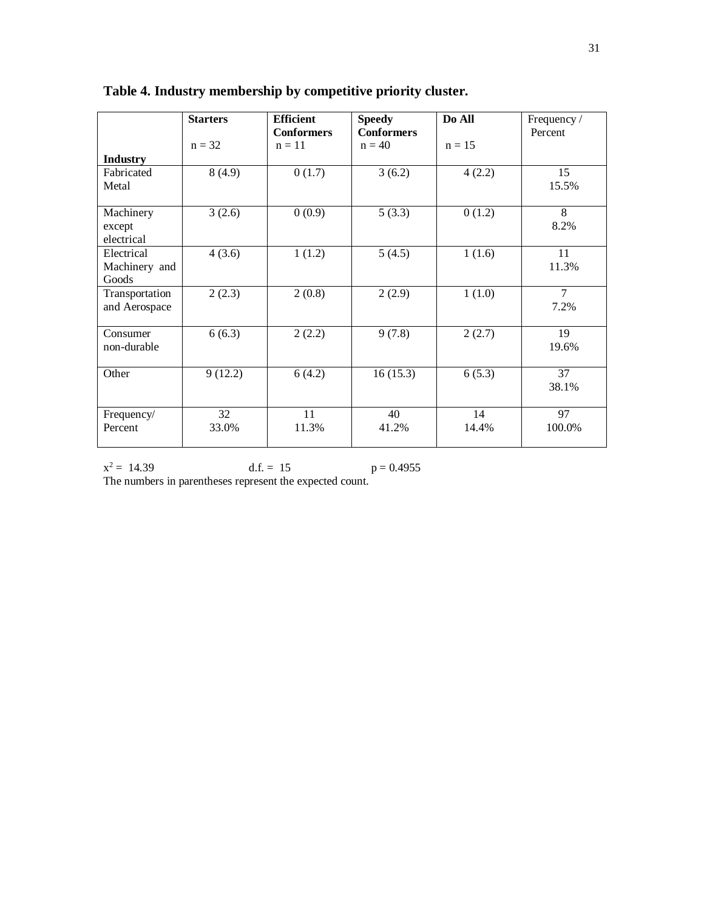|                                      | <b>Starters</b> | <b>Efficient</b><br><b>Conformers</b> | <b>Speedy</b><br><b>Conformers</b> | Do All      | Frequency /<br>Percent |
|--------------------------------------|-----------------|---------------------------------------|------------------------------------|-------------|------------------------|
| <b>Industry</b>                      | $n = 32$        | $n = 11$                              | $n = 40$                           | $n = 15$    |                        |
| Fabricated<br>Metal                  | 8(4.9)          | 0(1.7)                                | 3(6.2)                             | 4(2.2)      | 15<br>15.5%            |
| Machinery<br>except<br>electrical    | 3(2.6)          | 0(0.9)                                | 5(3.3)                             | 0(1.2)      | 8<br>8.2%              |
| Electrical<br>Machinery and<br>Goods | 4(3.6)          | 1(1.2)                                | 5(4.5)                             | 1(1.6)      | 11<br>11.3%            |
| Transportation<br>and Aerospace      | 2(2.3)          | 2(0.8)                                | 2(2.9)                             | 1(1.0)      | $\tau$<br>7.2%         |
| Consumer<br>non-durable              | 6(6.3)          | 2(2.2)                                | 9(7.8)                             | 2(2.7)      | 19<br>19.6%            |
| Other                                | 9(12.2)         | 6(4.2)                                | 16(15.3)                           | 6(5.3)      | 37<br>38.1%            |
| Frequency/<br>Percent                | 32<br>33.0%     | 11<br>11.3%                           | 40<br>41.2%                        | 14<br>14.4% | 97<br>100.0%           |

**Table 4. Industry membership by competitive priority cluster.**

 $x^2 = 14.39$  d.f. = 15 p = 0.4955 The numbers in parentheses represent the expected count.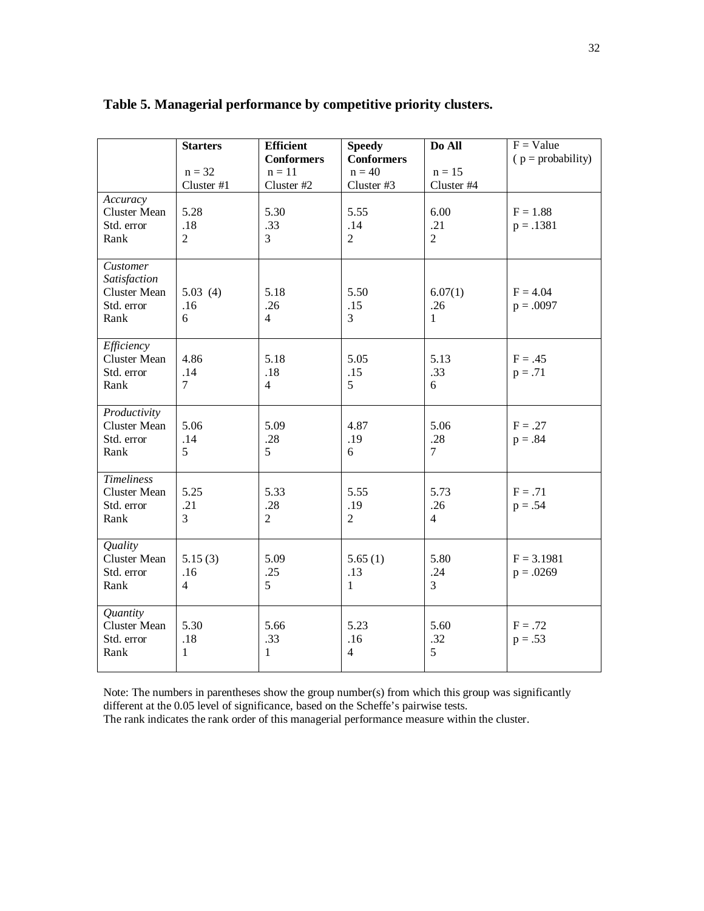|                                                                       | <b>Starters</b><br>$n = 32$<br>Cluster #1 | <b>Efficient</b><br><b>Conformers</b><br>$n = 11$<br>Cluster #2 | <b>Speedy</b><br><b>Conformers</b><br>$n = 40$<br>Cluster #3 | Do All<br>$n = 15$<br>Cluster #4 | $F = Value$<br>$p = probability$ |
|-----------------------------------------------------------------------|-------------------------------------------|-----------------------------------------------------------------|--------------------------------------------------------------|----------------------------------|----------------------------------|
| Accuracy<br><b>Cluster Mean</b><br>Std. error<br>Rank                 | 5.28<br>.18<br>$\overline{2}$             | 5.30<br>.33<br>3                                                | 5.55<br>.14<br>$\overline{2}$                                | 6.00<br>.21<br>$\overline{2}$    | $F = 1.88$<br>$p = .1381$        |
| Customer<br>Satisfaction<br><b>Cluster Mean</b><br>Std. error<br>Rank | 5.03(4)<br>.16<br>6                       | 5.18<br>.26<br>$\overline{4}$                                   | 5.50<br>.15<br>3                                             | 6.07(1)<br>.26<br>$\mathbf{1}$   | $F = 4.04$<br>$p = .0097$        |
| Efficiency<br><b>Cluster Mean</b><br>Std. error<br>Rank               | 4.86<br>.14<br>7                          | 5.18<br>.18<br>$\overline{4}$                                   | 5.05<br>.15<br>5                                             | 5.13<br>.33<br>6                 | $F = .45$<br>$p = .71$           |
| Productivity<br><b>Cluster Mean</b><br>Std. error<br>Rank             | 5.06<br>.14<br>5                          | 5.09<br>.28<br>5                                                | 4.87<br>.19<br>6                                             | 5.06<br>.28<br>$\overline{7}$    | $F = .27$<br>$p = .84$           |
| <b>Timeliness</b><br><b>Cluster Mean</b><br>Std. error<br>Rank        | 5.25<br>.21<br>3                          | 5.33<br>.28<br>$\overline{2}$                                   | 5.55<br>.19<br>$\overline{2}$                                | 5.73<br>.26<br>4                 | $F = .71$<br>$p = .54$           |
| Quality<br><b>Cluster Mean</b><br>Std. error<br>Rank                  | 5.15(3)<br>.16<br>$\overline{4}$          | 5.09<br>.25<br>5                                                | 5.65(1)<br>.13<br>1                                          | 5.80<br>.24<br>3                 | $F = 3.1981$<br>$p = .0269$      |
| Quantity<br><b>Cluster Mean</b><br>Std. error<br>Rank                 | 5.30<br>.18<br>$\mathbf{1}$               | 5.66<br>.33<br>1                                                | 5.23<br>.16<br>4                                             | 5.60<br>.32<br>5                 | $F = .72$<br>$p = .53$           |

# **Table 5. Managerial performance by competitive priority clusters.**

Note: The numbers in parentheses show the group number(s) from which this group was significantly different at the 0.05 level of significance, based on the Scheffe's pairwise tests. The rank indicates the rank order of this managerial performance measure within the cluster.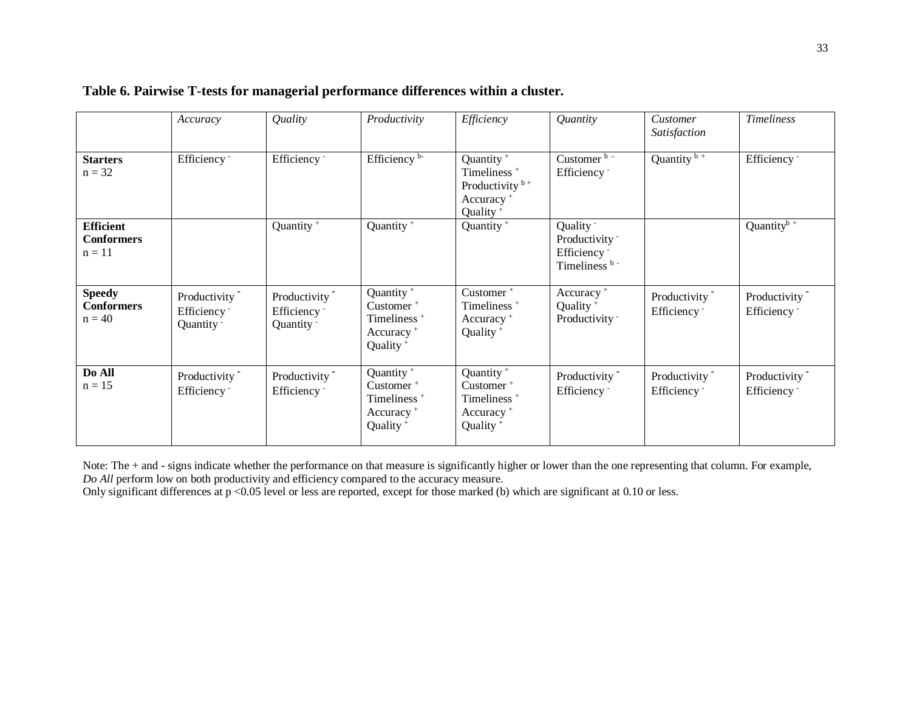|                                                   | Accuracy                                                           | Quality                                               | Productivity                                                                                                               | Efficiency                                                                                                                 | Quantity                                                                | Customer<br>Satisfaction                | <b>Timeliness</b>            |
|---------------------------------------------------|--------------------------------------------------------------------|-------------------------------------------------------|----------------------------------------------------------------------------------------------------------------------------|----------------------------------------------------------------------------------------------------------------------------|-------------------------------------------------------------------------|-----------------------------------------|------------------------------|
| <b>Starters</b><br>$n = 32$                       | Efficiency -                                                       | Efficiency -                                          | Efficiency b-                                                                                                              | Quantity <sup>+</sup><br>Timeliness <sup>+</sup><br>Productivity $b +$<br>Accuracy <sup>+</sup><br>Quality <sup>+</sup>    | Customer b-<br>Efficiency -                                             | Quantity $\overline{b+}$                | Efficiency -                 |
| <b>Efficient</b><br><b>Conformers</b><br>$n = 11$ |                                                                    | Quantity <sup>+</sup>                                 | Quantity <sup>+</sup>                                                                                                      | Quantity <sup>+</sup>                                                                                                      | Quality -<br>Productivity -<br>Efficiency -<br>Timeliness <sup>b-</sup> |                                         | Quantity $\sqrt{b^+}$        |
| <b>Speedy</b><br><b>Conformers</b><br>$n = 40$    | Productivity <sup>-</sup><br>Efficiency <sup>-</sup><br>Quantity - | Productivity<br>Efficiency -<br>Quantity <sup>-</sup> | Quantity <sup>+</sup><br>Customer <sup>+</sup><br>Timeliness <sup>+</sup><br>Accuracy <sup>+</sup><br>Quality <sup>+</sup> | Customer <sup>+</sup><br>Timeliness <sup>+</sup><br>Accuracy <sup>+</sup><br>Quality <sup>+</sup>                          | Accuracy <sup>+</sup><br>Quality <sup>+</sup><br>Productivity -         | Productivity<br>Efficiency <sup>-</sup> | Productivity<br>Efficiency - |
| Do All<br>$n = 15$                                | Productivity<br>Efficiency <sup>-</sup>                            | Productivity<br>Efficiency -                          | Quantity <sup>+</sup><br>Customer <sup>+</sup><br>Timeliness <sup>+</sup><br>Accuracy <sup>+</sup><br>Quality <sup>+</sup> | Quantity <sup>+</sup><br>Customer <sup>+</sup><br>Timeliness <sup>+</sup><br>Accuracy <sup>+</sup><br>Quality <sup>+</sup> | Productivity<br>Efficiency -                                            | Productivity<br>Efficiency <sup>-</sup> | Productivity<br>Efficiency - |

# **Table 6. Pairwise T-tests for managerial performance differences within a cluster.**

Note: The + and - signs indicate whether the performance on that measure is significantly higher or lower than the one representing that column. For example, *Do All* perform low on both productivity and efficiency compared to the accuracy measure.

Only significant differences at  $p < 0.05$  level or less are reported, except for those marked (b) which are significant at 0.10 or less.